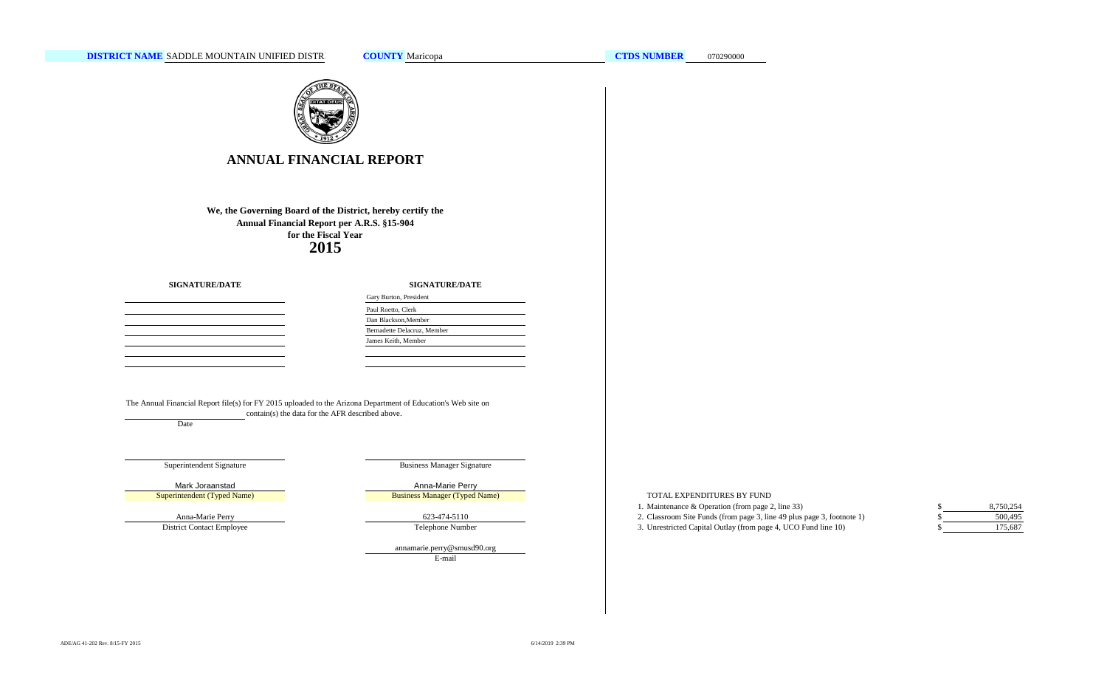

## **ANNUAL FINANCIAL REPORT**

**2015 We, the Governing Board of the District, hereby certify the Annual Financial Report per A.R.S. §15-904 for the Fiscal Year**

**SIGNATURE/DATE**

**SIGNATURE/DATE**

| the control of the control of the control of |  |  |
|----------------------------------------------|--|--|
|                                              |  |  |
|                                              |  |  |
|                                              |  |  |
|                                              |  |  |
|                                              |  |  |
|                                              |  |  |
|                                              |  |  |
|                                              |  |  |

| Gary Burton, President      |
|-----------------------------|
| Paul Roetto, Clerk          |
| Dan Blackson, Member        |
| Bernadette Delacruz, Member |
| James Keith, Member         |
|                             |

The Annual Financial Report file(s) for FY 2015 uploaded to the Arizona Department of Education's Web site on contain(s) the data for the AFR described above.

Date

#### Superintendent Signature

Superintendent (Typed Name)

Anna-Marie Perry District Contact Employee Business Manager Signature

Mark Joraanstad **Anna-Marie Perry** Anna-Marie Perry Business Manager (Typed Name)

623-474-5110

Telephone Number

E-mail annamarie.perry@smusd90.org TOTAL EXPENDITURES BY FUND

- 1. Maintenance & Operation (from page 2, line 33) \$
- 2. Classroom Site Funds (from page 3, line 49 plus page 3, footnote 1) \$

3. Unrestricted Capital Outlay (from page 4, UCO Fund line 10) \$

500,495 175,687 8,750,254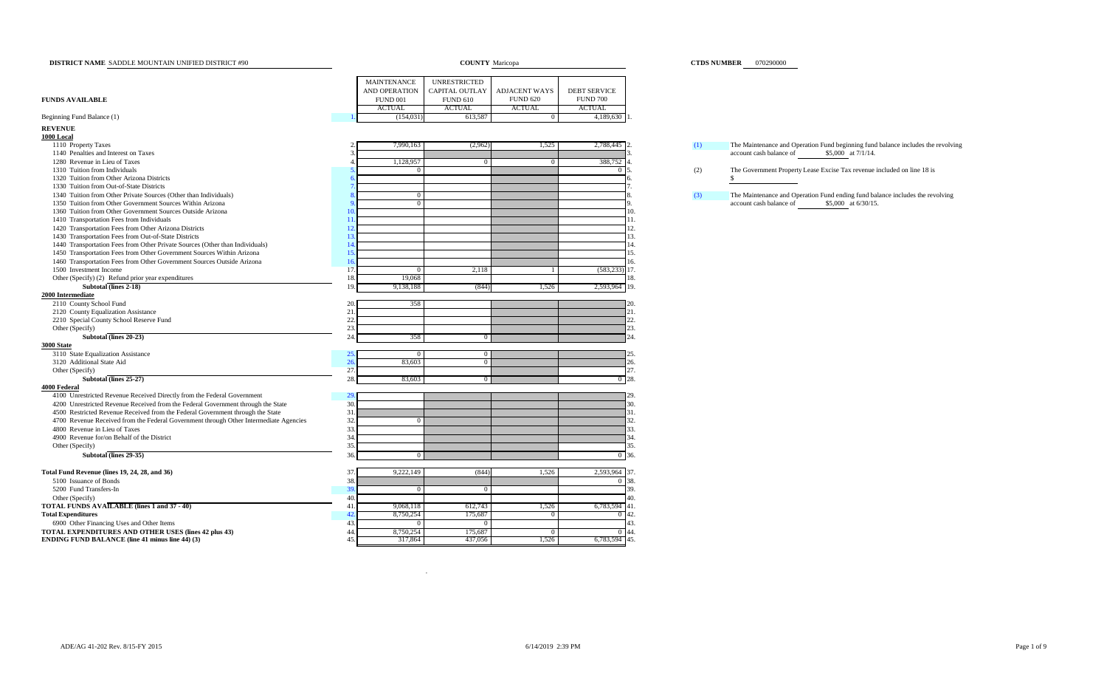| DISTRICT NAME SADDLE MOUNTAIN UNIFIED DISTRICT #90                                    |     |                      | <b>COUNTY</b> Maricopa |                      |                     |     | <b>CTDS NUMBER</b> 070290000                                                     |
|---------------------------------------------------------------------------------------|-----|----------------------|------------------------|----------------------|---------------------|-----|----------------------------------------------------------------------------------|
|                                                                                       |     | <b>MAINTENANCE</b>   | UNRESTRICTED           |                      |                     |     |                                                                                  |
|                                                                                       |     | <b>AND OPERATION</b> | <b>CAPITAL OUTLAY</b>  | <b>ADJACENT WAYS</b> | <b>DEBT SERVICE</b> |     |                                                                                  |
| <b>FUNDS AVAILABLE</b>                                                                |     | <b>FUND 001</b>      | <b>FUND 610</b>        | <b>FUND 620</b>      | <b>FUND 700</b>     |     |                                                                                  |
|                                                                                       |     | <b>ACTUAL</b>        | <b>ACTUAL</b>          | <b>ACTUAL</b>        | <b>ACTUAL</b>       |     |                                                                                  |
| Beginning Fund Balance (1)                                                            |     | (154, 031)           | 613,587                | $\mathbf{0}$         | 4,189,630           |     |                                                                                  |
| <b>REVENUE</b>                                                                        |     |                      |                        |                      |                     |     |                                                                                  |
| 1000 Local                                                                            |     |                      |                        |                      |                     |     |                                                                                  |
| 1110 Property Taxes                                                                   |     | 7,990,163            | (2,962)                | 1,525                | 2,788,445           | (1) | The Maintenance and Operation Fund beginning fund balance includes the revolving |
| 1140 Penalties and Interest on Taxes                                                  |     |                      |                        |                      |                     |     | account cash balance of<br>\$5,000 at 7/1/14.                                    |
| 1280 Revenue in Lieu of Taxes                                                         |     | 1,128,957            | $\overline{0}$         | $\overline{0}$       | 388,752             |     |                                                                                  |
| 1310 Tuition from Individuals                                                         |     | $^{(1)}$             |                        |                      |                     | (2) | The Government Property Lease Excise Tax revenue included on line 18 is          |
| 1320 Tuition from Other Arizona Districts                                             |     |                      |                        |                      |                     |     | \$                                                                               |
| 1330 Tuition from Out-of-State Districts                                              |     |                      |                        |                      |                     |     |                                                                                  |
| 1340 Tuition from Other Private Sources (Other than Individuals)                      |     | $\overline{0}$       |                        |                      |                     | (3) | The Maintenance and Operation Fund ending fund balance includes the revolving    |
| 1350 Tuition from Other Government Sources Within Arizona                             |     | $\Omega$             |                        |                      |                     |     | account cash balance of<br>\$5,000 at 6/30/15.                                   |
| 1360 Tuition from Other Government Sources Outside Arizona                            |     |                      |                        |                      |                     | 10. |                                                                                  |
| 1410 Transportation Fees from Individuals                                             |     |                      |                        |                      |                     | 11. |                                                                                  |
| 1420 Transportation Fees from Other Arizona Districts                                 | 12  |                      |                        |                      |                     | 12. |                                                                                  |
| 1430 Transportation Fees from Out-of-State Districts                                  | 13  |                      |                        |                      |                     | 13. |                                                                                  |
| 1440 Transportation Fees from Other Private Sources (Other than Individuals)          | 14  |                      |                        |                      |                     | 14. |                                                                                  |
| 1450 Transportation Fees from Other Government Sources Within Arizona                 | 15. |                      |                        |                      |                     | 15. |                                                                                  |
| 1460 Transportation Fees from Other Government Sources Outside Arizona                | 16  |                      |                        |                      |                     | 16. |                                                                                  |
| 1500 Investment Income                                                                | 17. | $\Omega$             | 2,118                  |                      | $(583, 233)$ 17.    |     |                                                                                  |
| Other (Specify) (2) Refund prior year expenditures                                    | 18. | 19,068               |                        |                      |                     | 18. |                                                                                  |
| Subtotal (lines 2-18)                                                                 | 19  | 9,138,188            | (844)                  | 1,526                | 2,593,964 19.       |     |                                                                                  |
| 2000 Intermediate                                                                     |     |                      |                        |                      |                     |     |                                                                                  |
| 2110 County School Fund                                                               | 20  | 358                  |                        |                      |                     |     |                                                                                  |
| 2120 County Equalization Assistance                                                   | 21. |                      |                        |                      |                     | 21. |                                                                                  |
| 2210 Special County School Reserve Fund                                               | 22  |                      |                        |                      |                     | 22. |                                                                                  |
| Other (Specify)                                                                       | 23. |                      |                        |                      |                     | 23. |                                                                                  |
| Subtotal (lines 20-23)                                                                | 24  | 358                  | $^{0}$                 |                      | $^{24}$             |     |                                                                                  |
| <b>3000 State</b>                                                                     |     |                      |                        |                      |                     |     |                                                                                  |
| 3110 State Equalization Assistance                                                    | 25  | $\overline{0}$       | $\mathbf{0}$           |                      |                     |     |                                                                                  |
| 3120 Additional State Aid                                                             | 26. | 83,603               | $\overline{0}$         |                      |                     | 26. |                                                                                  |
| Other (Specify)                                                                       | 27. |                      |                        |                      |                     | 27. |                                                                                  |
| Subtotal (lines 25-27)                                                                | 28. | 83,603               | $\Omega$               |                      |                     | 28. |                                                                                  |
| 4000 Federal                                                                          |     |                      |                        |                      |                     |     |                                                                                  |
| 4100 Unrestricted Revenue Received Directly from the Federal Government               | 29. |                      |                        |                      | 29                  |     |                                                                                  |
| 4200 Unrestricted Revenue Received from the Federal Government through the State      | 30. |                      |                        |                      |                     | 30. |                                                                                  |
| 4500 Restricted Revenue Received from the Federal Government through the State        | 31. |                      |                        |                      |                     | 31. |                                                                                  |
| 4700 Revenue Received from the Federal Government through Other Intermediate Agencies | 32  | $\Omega$             |                        |                      |                     | 32. |                                                                                  |
| 4800 Revenue in Lieu of Taxes                                                         | 33. |                      |                        |                      |                     | 33. |                                                                                  |
| 4900 Revenue for/on Behalf of the District                                            | 34  |                      |                        |                      |                     | 34. |                                                                                  |
| Other (Specify)                                                                       | 35. |                      |                        |                      |                     | 35. |                                                                                  |
| Subtotal (lines 29-35)                                                                | 36  | $\overline{0}$       |                        |                      | $0 - 36.$           |     |                                                                                  |
| Total Fund Revenue (lines 19, 24, 28, and 36)                                         | 37. | 9,222,149            | (844)                  | 1,526                | 2,593,964 37.       |     |                                                                                  |
| 5100 Issuance of Bonds                                                                | 38. |                      |                        |                      |                     | 38. |                                                                                  |
| 5200 Fund Transfers-In                                                                | 39. | $\overline{0}$       | $\overline{0}$         |                      |                     | 39. |                                                                                  |
| Other (Specify)                                                                       | 40. |                      |                        |                      |                     | 40. |                                                                                  |
| TOTAL FUNDS AVAILABLE (lines 1 and 37 - 40)                                           | 41  | 9,068,118            | 612,743                | 1,526                | 6,783,594 41.       |     |                                                                                  |
| <b>Total Expenditures</b>                                                             | 42  | 8,750,254            | 175,687                | $\Omega$             |                     | 42. |                                                                                  |
| 6900 Other Financing Uses and Other Items                                             | 43  | $\Omega$             | $\Omega$               |                      |                     | 43. |                                                                                  |
| TOTAL EXPENDITURES AND OTHER USES (lines 42 plus 43)                                  | 44  | 8,750,254            | 175,687                | $\overline{0}$       | 44                  |     |                                                                                  |
| <b>ENDING FUND BALANCE (line 41 minus line 44) (3)</b>                                | 45  | 317,864              | 437,056                | 1,526                | 6,783,594 45.       |     |                                                                                  |
|                                                                                       |     |                      |                        |                      |                     |     |                                                                                  |

.

#### **CTDS NUMBER** 070290000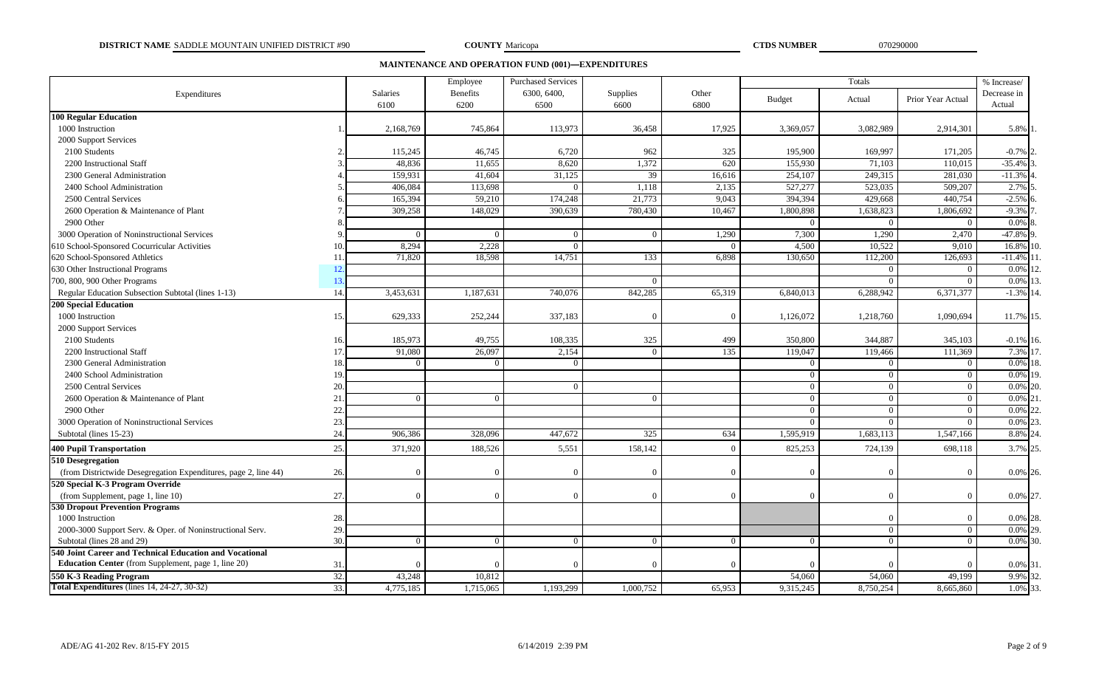**DISTRICT NAME** SADDLE MOUNTAIN UNIFIED DISTRICT #90 **070290000 COUNTY** Maricopa **070290000 CTDS NUMBER** 070290000

**COUNTY** Maricopa

**MAINTENANCE AND OPERATION FUND (001)—EXPENDITURES**

|                                                                 |     |                         | Employee                | <b>Purchased Services</b> |                  |               |               | Totals         | % Increase/       |                       |
|-----------------------------------------------------------------|-----|-------------------------|-------------------------|---------------------------|------------------|---------------|---------------|----------------|-------------------|-----------------------|
| Expenditures                                                    |     | <b>Salaries</b><br>6100 | <b>Benefits</b><br>6200 | 6300, 6400,<br>6500       | Supplies<br>6600 | Other<br>6800 | <b>Budget</b> | Actual         | Prior Year Actual | Decrease in<br>Actual |
| <b>100 Regular Education</b>                                    |     |                         |                         |                           |                  |               |               |                |                   |                       |
| 1000 Instruction                                                |     | 2,168,769               | 745,864                 | 113,973                   | 36,458           | 17,925        | 3,369,057     | 3,082,989      | 2,914,301         | 5.8%                  |
| 2000 Support Services                                           |     |                         |                         |                           |                  |               |               |                |                   |                       |
| 2100 Students                                                   |     | 115,245                 | 46,745                  | 6,720                     | 962              | 325           | 195,900       | 169,997        | 171,205           | $-0.7%$ 2             |
| 2200 Instructional Staff                                        |     | 48,836                  | 11,655                  | 8,620                     | 1,372            | 620           | 155,930       | 71,103         | 110,015           | $-35.4%$              |
| 2300 General Administration                                     |     | 159,931                 | 41,604                  | 31,125                    | 39               | 16,616        | 254,107       | 249,315        | 281,030           | $-11.3%$              |
| 2400 School Administration                                      |     | 406,084                 | 113,698                 |                           | 1,118            | 2,135         | 527,277       | 523,035        | 509,207           | 2.7%                  |
| 2500 Central Services                                           |     | 165,394                 | 59,210                  | 174,248                   | 21,773           | 9,043         | 394,394       | 429,668        | 440,754           | $-2.5%$               |
| 2600 Operation & Maintenance of Plant                           |     | 309,258                 | 148,029                 | 390,639                   | 780,430          | 10,467        | 1,800,898     | 1,638,823      | 1,806,692         | $-9.3%$               |
| 2900 Other                                                      |     |                         |                         |                           |                  |               | $\Omega$      | $\Omega$       | $\Omega$          | 0.0%                  |
| 3000 Operation of Noninstructional Services                     |     | $\Omega$                | $\Omega$                | $\Omega$                  | $\Omega$         | 1,290         | 7,300         | 1,290          | 2,470             | $-47.8\%$ 9           |
| 610 School-Sponsored Cocurricular Activities                    | 10. | 8,294                   | 2,228                   |                           |                  |               | 4,500         | 10,522         | 9,010             | 16.8%                 |
| 620 School-Sponsored Athletics                                  | 11  | 71,820                  | 18,598                  | 14,751                    | 133              | 6,898         | 130,650       | 112,200        | 126,693           | $-11.4%$              |
| 630 Other Instructional Programs                                | 12. |                         |                         |                           |                  |               |               | $\Omega$       | $\overline{0}$    | 0.0%                  |
| 700, 800, 900 Other Programs                                    | 13. |                         |                         |                           |                  |               |               | $\Omega$       | $\Omega$          | $0.0\%$               |
| Regular Education Subsection Subtotal (lines 1-13)              | 14. | 3,453,631               | 1,187,631               | 740,076                   | 842,285          | 65,319        | 6,840,013     | 6,288,942      | 6,371,377         | $-1.3\%$ 14           |
| <b>200 Special Education</b>                                    |     |                         |                         |                           |                  |               |               |                |                   |                       |
| 1000 Instruction                                                | 15. | 629.333                 | 252,244                 | 337,183                   |                  | $\Omega$      | 1,126,072     | 1,218,760      | 1,090,694         | 11.7% 15.             |
| 2000 Support Services                                           |     |                         |                         |                           |                  |               |               |                |                   |                       |
| 2100 Students                                                   | 16. | 185,973                 | 49,755                  | 108,335                   | 325              | 499           | 350,800       | 344,887        | 345,103           | $-0.1\%$ 16.          |
| 2200 Instructional Staff                                        | 17. | 91,080                  | 26,097                  | 2,154                     | $\Omega$         | 135           | 119,047       | 119,466        | 111,369           | 7.3% 17               |
| 2300 General Administration                                     | 18. | $\Omega$                | $\Omega$                | $\Omega$                  |                  |               | $\Omega$      | $\Omega$       | $\Omega$          | $0.0\%$ 1             |
| 2400 School Administration                                      | 19  |                         |                         |                           |                  |               | $\Omega$      | $\Omega$       | $\Omega$          | 0.0% 19               |
| 2500 Central Services                                           | 20. |                         |                         | $\Omega$                  |                  |               | $\Omega$      | $\overline{0}$ | $\overline{0}$    | $0.0\%$ 20.           |
| 2600 Operation & Maintenance of Plant                           | 21  | $\Omega$                | $\Omega$                |                           |                  |               | $\Omega$      | $\Omega$       | $\Omega$          | $0.0\%$ 2             |
| 2900 Other                                                      | 22  |                         |                         |                           |                  |               | $\Omega$      | $\overline{0}$ | $\overline{0}$    | 0.0%                  |
| 3000 Operation of Noninstructional Services                     | 23. |                         |                         |                           |                  |               | $\Omega$      | $\overline{0}$ | $\Omega$          | $0.0\%$ <sub>2</sub>  |
| Subtotal (lines 15-23)                                          | 24. | 906,386                 | 328,096                 | 447,672                   | 325              | 634           | 1,595,919     | 1,683,113      | 1,547,166         | 8.8% 2                |
| <b>400 Pupil Transportation</b>                                 | 25. | 371,920                 | 188,526                 | 5,551                     | 158,142          | ſ             | 825,253       | 724,139        | 698,118           | 3.7% 25               |
| 510 Desegregation                                               |     |                         |                         |                           |                  |               |               |                |                   |                       |
| (from Districtwide Desegregation Expenditures, page 2, line 44) | 26. | $\Omega$                | $\Omega$                | $\Omega$                  |                  | $\Omega$      | $\Omega$      | $\Omega$       | $\Omega$          | 0.0% 26.              |
| 520 Special K-3 Program Override                                |     |                         |                         |                           |                  |               |               |                |                   |                       |
| (from Supplement, page 1, line 10)                              | 27. | $\Omega$                | $\Omega$                | $\Omega$                  | $\Omega$         | $\Omega$      | $\Omega$      | $\Omega$       | $\Omega$          | 0.0% 27               |
| <b>530 Dropout Prevention Programs</b>                          |     |                         |                         |                           |                  |               |               |                |                   |                       |
| 1000 Instruction                                                | 28. |                         |                         |                           |                  |               |               |                |                   | 0.0% 28               |
| 2000-3000 Support Serv. & Oper. of Noninstructional Serv.       | 29. |                         |                         |                           |                  |               |               | $\overline{0}$ | $\Omega$          | $0.0\%$ 29.           |
| Subtotal (lines 28 and 29)                                      | 30. |                         | $\Omega$                | $\overline{0}$            |                  | $\Omega$      | $\Omega$      | $\Omega$       | $\Omega$          | 0.0% 30               |
| 540 Joint Career and Technical Education and Vocational         |     |                         |                         |                           |                  |               |               |                |                   |                       |
| <b>Education Center</b> (from Supplement, page 1, line 20)      | 31. |                         |                         | $\Omega$                  |                  |               |               | $\Omega$       | $\Omega$          | 0.0% 31               |
| 550 K-3 Reading Program                                         | 32. | 43,248                  | 10,812                  |                           |                  |               | 54,060        | 54,060         | 49,199            | 9.9% 32               |
| Total Expenditures (lines 14, 24-27, 30-32)                     | 33. | 4,775,185               | 1,715,065               | 1,193,299                 | 1,000,752        | 65.953        | 9,315,245     | 8,750,254      | 8,665,860         | 1.0% 33               |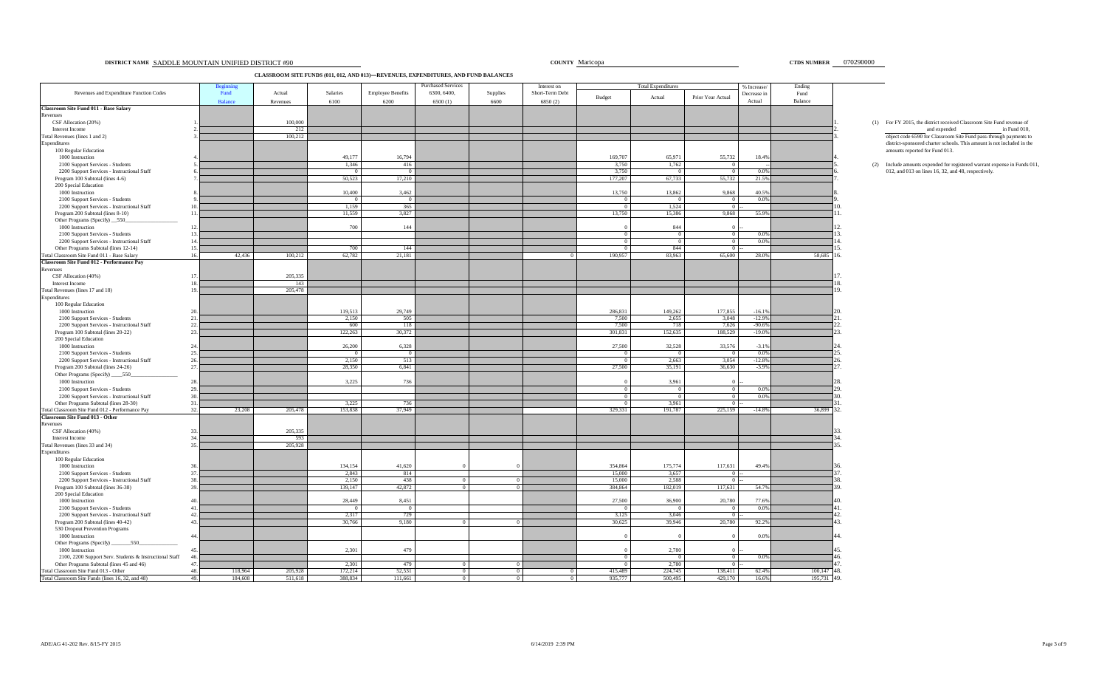#### **DISTRICT NAME SADDLE MOUNTAIN UNIFIED DISTRICT #90** Maricopa **DISTRICT ACCOUNTY Maricopa DISTRICT ACCOUNTY Maricopa 070290000 CTDS NUMBER** 070290000

**CLASSROOM SITE FUNDS (011, 012, AND 013)—REVENUES, EXPENDITURES, AND FUND BALANCES**

|                                                                                    |            |                |                |                  |                          | <b>Purchased Services</b> |          | Interest on     |                   | <b>Total Expenditures</b> |                           | % Increase/   | Ending      |                                                                                                       |
|------------------------------------------------------------------------------------|------------|----------------|----------------|------------------|--------------------------|---------------------------|----------|-----------------|-------------------|---------------------------|---------------------------|---------------|-------------|-------------------------------------------------------------------------------------------------------|
| Revenues and Expenditure Function Codes                                            |            | Fund           | Actual         | Salaries         | <b>Employee Benefits</b> | 6300, 6400,               | Supplies | Short-Term Debt | Budget            | Actual                    | Prior Year Actual         | Decrease in   | Fund        |                                                                                                       |
|                                                                                    |            | <b>Balance</b> | Revenues       | 6100             | 6200                     | 6500(1)                   | 6600     | 6850 (2)        |                   |                           |                           | Actual        | Balance     |                                                                                                       |
| <b>Classroom Site Fund 011 - Base Salary</b>                                       |            |                |                |                  |                          |                           |          |                 |                   |                           |                           |               |             |                                                                                                       |
| Revenues                                                                           |            |                |                |                  |                          |                           |          |                 |                   |                           |                           |               |             |                                                                                                       |
| CSF Allocation (20%)<br>Interest Income                                            |            |                | 100,000<br>212 |                  |                          |                           |          |                 |                   |                           |                           |               |             | (1) For FY 2015, the district received Classroom Site Fund revenue of<br>and expended<br>in Fund 010, |
| Total Revenues (lines 1 and 2)                                                     |            |                | 100,212        |                  |                          |                           |          |                 |                   |                           |                           |               |             | object code 6590 for Classroom Site Fund pass-through payments to                                     |
| Expenditures                                                                       |            |                |                |                  |                          |                           |          |                 |                   |                           |                           |               |             | district-sponsored charter schools. This amount is not included in the                                |
| 100 Regular Education                                                              |            |                |                |                  |                          |                           |          |                 |                   |                           |                           |               |             | amounts reported for Fund 013.                                                                        |
| 1000 Instruction                                                                   |            |                |                | 49,177           | 16,794                   |                           |          |                 | 169,707           | 65,971                    | 55,732                    | 18.4%         |             |                                                                                                       |
| 2100 Support Services - Students                                                   |            |                |                | 1,346            | 416                      |                           |          |                 | 3,750             | 1,762                     | $\overline{0}$            |               |             | (2) Include amounts expended for registered warrant expense in Funds 011                              |
| 2200 Support Services - Instructional Staff                                        |            |                |                |                  |                          |                           |          |                 | 3.750             |                           | $\Omega$                  | 0.0%          |             | 012, and 013 on lines 16, 32, and 48, respectively.                                                   |
| Program 100 Subtotal (lines 4-6)                                                   |            |                |                | 50,523           | 17,210                   |                           |          |                 | 177,207           | 67,733                    | 55,732                    | 21.5%         |             |                                                                                                       |
| 200 Special Education                                                              |            |                |                |                  |                          |                           |          |                 |                   |                           |                           |               |             |                                                                                                       |
| 1000 Instruction                                                                   |            |                |                | 10,400           | 3,462                    |                           |          |                 | 13,750            | 13,862                    | 9,868                     | 40.5%<br>0.0% |             |                                                                                                       |
| 2100 Support Services - Students                                                   |            |                |                | 1,159            | $^{\circ}$<br>365        |                           |          |                 |                   | $^{\circ}$<br>1,524       | $\Omega$                  |               |             |                                                                                                       |
| 2200 Support Services - Instructional Staff<br>Program 200 Subtotal (lines 8-10)   | 11         |                |                | 11,559           | 3,827                    |                           |          |                 | 13,750            | 15,386                    | $\overline{0}$<br>9,868   | 55.9%         |             |                                                                                                       |
| Other Programs (Specify) 550                                                       |            |                |                |                  |                          |                           |          |                 |                   |                           |                           |               |             |                                                                                                       |
| 1000 Instruction                                                                   | 12         |                |                | 700              | 144                      |                           |          |                 |                   | 844                       | $\Omega$                  |               |             |                                                                                                       |
| 2100 Support Services - Students                                                   | 13         |                |                |                  |                          |                           |          |                 | - 0               | $\Omega$                  | $\overline{0}$            | 0.0%          |             |                                                                                                       |
| 2200 Support Services - Instructional Staff                                        |            |                |                |                  |                          |                           |          |                 |                   | $^{\circ}$                | $\overline{0}$            | 0.0%          |             |                                                                                                       |
| Other Programs Subtotal (lines 12-14)                                              | 15.        |                |                | 700              | 144                      |                           |          |                 |                   | 844                       | $\overline{0}$            |               |             |                                                                                                       |
| Total Classroom Site Fund 011 - Base Salary                                        | 16.        | 42,436         | 100,212        | 62,782           | 21,181                   |                           |          |                 | 190,957           | 83,963                    | 65,600                    | 28.0%         | 58,685      |                                                                                                       |
| Classroom Site Fund 012 - Performance Pay                                          |            |                |                |                  |                          |                           |          |                 |                   |                           |                           |               |             |                                                                                                       |
| Revenues                                                                           |            |                |                |                  |                          |                           |          |                 |                   |                           |                           |               |             |                                                                                                       |
| CSF Allocation (40%)                                                               |            |                | 205,335        |                  |                          |                           |          |                 |                   |                           |                           |               |             |                                                                                                       |
| Interest Income                                                                    |            |                | 143            |                  |                          |                           |          |                 |                   |                           |                           |               |             |                                                                                                       |
| Total Revenues (lines 17 and 18)                                                   | 19         |                | 205,478        |                  |                          |                           |          |                 |                   |                           |                           |               |             |                                                                                                       |
| Expenditures<br>100 Regular Education                                              |            |                |                |                  |                          |                           |          |                 |                   |                           |                           |               |             |                                                                                                       |
| 1000 Instruction                                                                   |            |                |                | 119,513          | 29,749                   |                           |          |                 | 286,831           | 149,262                   | 177,855                   | $-16.1%$      |             |                                                                                                       |
| 2100 Support Services - Students                                                   | 2.1        |                |                | 2.150            | 505                      |                           |          |                 | 7.500             | 2.655                     | 3.048                     | $-12.9%$      |             |                                                                                                       |
| 2200 Support Services - Instructional Staff                                        | 22         |                |                | 600              | 118                      |                           |          |                 | 7.500             | 718                       | 7,626                     | $-90.6%$      |             |                                                                                                       |
| Program 100 Subtotal (lines 20-22)                                                 | 23         |                |                | 122,263          | 30,372                   |                           |          |                 | 301,831           | 152,635                   | 188,529                   | $-19.0%$      |             |                                                                                                       |
| 200 Special Education                                                              |            |                |                |                  |                          |                           |          |                 |                   |                           |                           |               |             |                                                                                                       |
| 1000 Instruction                                                                   |            |                |                | 26,200           | 6,328                    |                           |          |                 | 27,500            | 32,528                    | 33,576                    | $-3.1%$       |             |                                                                                                       |
| 2100 Support Services - Students                                                   |            |                |                |                  |                          |                           |          |                 |                   |                           | $\Omega$                  | 0.0%          |             |                                                                                                       |
| 2200 Support Services - Instructional Staff                                        | 26.        |                |                | 2,150            | 513                      |                           |          |                 |                   | 2,663                     | 3,054                     | $-12.8%$      |             |                                                                                                       |
| Program 200 Subtotal (lines 24-26)                                                 | 27         |                |                | 28,350           | 6.841                    |                           |          |                 | 27,500            | 35,191                    | 36,630                    | $-3.9%$       |             |                                                                                                       |
| Other Programs (Specify) ______550                                                 |            |                |                |                  |                          |                           |          |                 |                   |                           |                           |               |             |                                                                                                       |
| 1000 Instruction                                                                   | 28         |                |                | 3,225            | 736                      |                           |          |                 |                   | 3,961                     | $\overline{0}$            | 0.0%          |             |                                                                                                       |
| 2100 Support Services - Students<br>2200 Support Services - Instructional Staff    |            |                |                |                  |                          |                           |          |                 |                   | $^{\circ}$<br>$\Omega$    | $\sqrt{0}$                | 0.0%          |             |                                                                                                       |
| Other Programs Subtotal (lines 28-30)                                              |            |                |                | 3,225            | 736                      |                           |          |                 |                   | 3,961                     | $\overline{0}$            |               |             |                                                                                                       |
| <b>Cotal Classroom Site Fund 012 - Performance Pay</b>                             | 32.        | 23,208         | 205,478        | 153,838          | 37,949                   |                           |          |                 | 329,331           | 191,787                   | 225,159                   | $-14.8%$      | 36,899 32.  |                                                                                                       |
| <b>Classroom Site Fund 013 - Other</b>                                             |            |                |                |                  |                          |                           |          |                 |                   |                           |                           |               |             |                                                                                                       |
| Revenues                                                                           |            |                |                |                  |                          |                           |          |                 |                   |                           |                           |               |             |                                                                                                       |
| CSF Allocation (40%)                                                               |            |                | 205,335        |                  |                          |                           |          |                 |                   |                           |                           |               |             |                                                                                                       |
| Interest Income                                                                    |            |                | 593            |                  |                          |                           |          |                 |                   |                           |                           |               |             |                                                                                                       |
| Total Revenues (lines 33 and 34)                                                   | 35         |                | 205,928        |                  |                          |                           |          |                 |                   |                           |                           |               |             |                                                                                                       |
| Expenditures                                                                       |            |                |                |                  |                          |                           |          |                 |                   |                           |                           |               |             |                                                                                                       |
| 100 Regular Education                                                              |            |                |                |                  |                          |                           |          |                 |                   |                           |                           |               |             |                                                                                                       |
| 1000 Instruction                                                                   | 37         |                |                | 134,154<br>2,843 | 41,620<br>814            |                           |          |                 | 354,864<br>15,000 | 175,774<br>3,657          | 117,631<br>$\overline{0}$ | 49.4%         |             |                                                                                                       |
| 2100 Support Services - Students<br>2200 Support Services - Instructional Staff    |            |                |                | 2,150            | 438                      |                           |          |                 | 15,000            | 2,588                     | $\overline{0}$            |               |             |                                                                                                       |
| Program 100 Subtotal (lines 36-38)                                                 |            |                |                | 139,147          | 42,872                   |                           |          |                 | 384,864           | 182,019                   | 117,631                   | 54.7%         |             |                                                                                                       |
| 200 Special Education                                                              |            |                |                |                  |                          |                           |          |                 |                   |                           |                           |               |             |                                                                                                       |
| 1000 Instruction                                                                   |            |                |                | 28,449           | 8,451                    |                           |          |                 | 27,500            | 36,900                    | 20,780                    | 77.6%         |             | 10                                                                                                    |
| 2100 Support Services - Students                                                   |            |                |                |                  |                          |                           |          |                 |                   | $^{\circ}$                | $\overline{0}$            | 0.0%          |             |                                                                                                       |
| 2200 Support Services - Instructional Staff                                        | 42         |                |                | 2,317            | 729                      |                           |          |                 | 3,125             | 3,046                     | $\theta$                  |               |             |                                                                                                       |
| Program 200 Subtotal (lines 40-42)                                                 | 43         |                |                | 30,766           | 9,180                    |                           |          |                 | 30,625            | 39,946                    | 20,780                    | 92.2%         |             |                                                                                                       |
| 530 Dropout Prevention Programs                                                    |            |                |                |                  |                          |                           |          |                 |                   |                           |                           |               |             |                                                                                                       |
| 1000 Instruction                                                                   | 44         |                |                |                  |                          |                           |          |                 |                   |                           |                           | 0.0%          |             |                                                                                                       |
| 550<br>Other Programs (Specify) ____                                               |            |                |                |                  |                          |                           |          |                 |                   |                           |                           |               |             |                                                                                                       |
| 1000 Instruction                                                                   |            |                |                | 2,301            | 479                      |                           |          |                 |                   | 2,780                     |                           |               |             |                                                                                                       |
| 2100, 2200 Support Serv. Students & Instructional Staff                            | 46<br>47.  |                |                |                  |                          |                           |          |                 |                   |                           | $\overline{0}$            | 0.0%          |             |                                                                                                       |
| Other Programs Subtotal (lines 45 and 46)<br>Total Classroom Site Fund 013 - Other |            | 118,964        | 205,928        | 2,301<br>172,214 | 479<br>52,531            |                           |          |                 | 415,489           | 2,780<br>224,745          | $\Omega$<br>138,411       | 62.4%         | 100,147 48. |                                                                                                       |
| Total Classroom Site Funds (lines 16, 32, and 48)                                  | 48.<br>49. | 184,608        | 511,618        | 388,834          | 111,661                  |                           |          |                 | 935,777           | 500.495                   | 429,170                   | 16.6%         | 195,731 49. |                                                                                                       |
|                                                                                    |            |                |                |                  |                          |                           |          |                 |                   |                           |                           |               |             |                                                                                                       |

# (1) For FY 2015, the district received Classroom Site Fund revenue of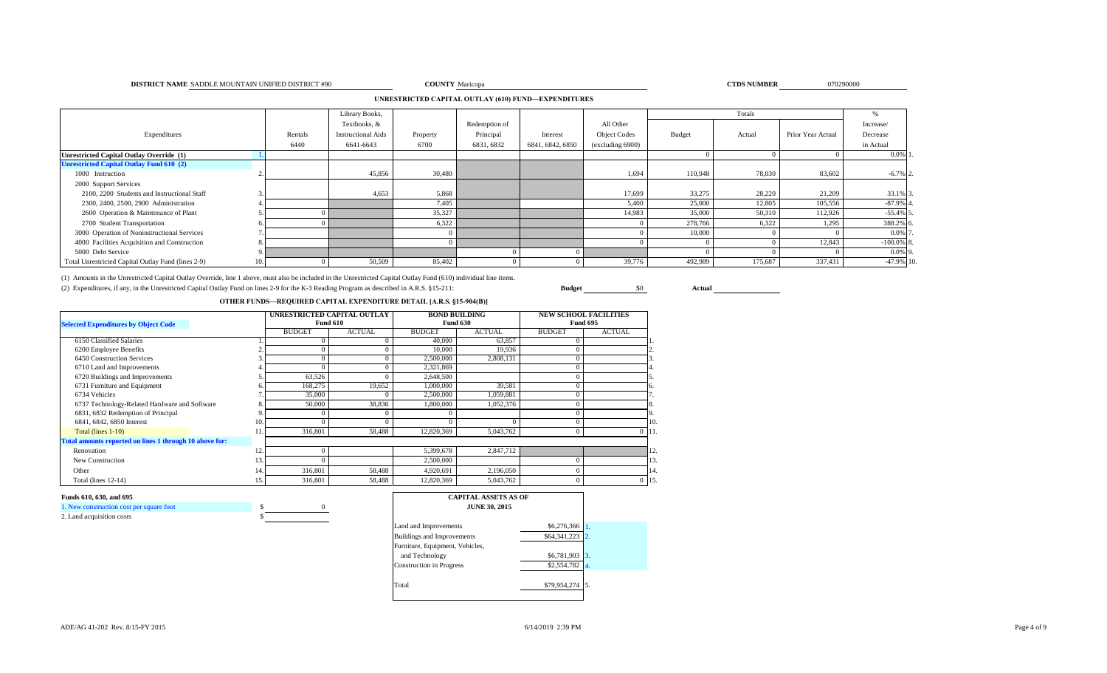#### **DISTRICT NAME** SADDLE MOUNTAIN UNIFIED DISTRICT #90 **COUNTY** Maricopa **COUNTY** Maricopa **COUNTY** Maricopa **COUNTY** Maricopa

**COUNTY** Maricopa **070290000 CTDS NUMBER** 070290000

#### **UNRESTRICTED CAPITAL OUTLAY (610) FUND—EXPENDITURES**

|                                                    |         | Library Books,            |          |               |                  |                     |         | Totals  |                   | Yo.          |
|----------------------------------------------------|---------|---------------------------|----------|---------------|------------------|---------------------|---------|---------|-------------------|--------------|
|                                                    |         | Textbooks, &              |          | Redemption of |                  | All Other           |         |         |                   | Increase/    |
| Expenditures                                       | Rentals | <b>Instructional Aids</b> | Property | Principal     | Interest         | <b>Object Codes</b> | Budget  | Actual  | Prior Year Actual | Decrease     |
|                                                    | 6440    | 6641-6643                 | 6700     | 6831, 6832    | 6841, 6842, 6850 | (excluding 6900)    |         |         |                   | in Actual    |
| <b>Unrestricted Capital Outlay Override (1)</b>    |         |                           |          |               |                  |                     |         |         |                   | $0.0\%$ 1.   |
| <b>Unrestricted Capital Outlay Fund 610 (2)</b>    |         |                           |          |               |                  |                     |         |         |                   |              |
| 1000 Instruction                                   |         | 45,856                    | 30,480   |               |                  | 1,694               | 110,948 | 78,030  | 83,602            | $-6.7\%$ 2.  |
| 2000 Support Services                              |         |                           |          |               |                  |                     |         |         |                   |              |
| 2100, 2200 Students and Instructional Staff        |         | 4,653                     | 5,868    |               |                  | 17,699              | 33,275  | 28,220  | 21,209            | 33.1% 3      |
| 2300, 2400, 2500, 2900 Administration              |         |                           | 7,405    |               |                  | 5,400               | 25,000  | 12,805  | 105,556           | $-87.9%$ 4.  |
| 2600 Operation & Maintenance of Plant              |         |                           | 35,327   |               |                  | 14,983              | 35,000  | 50,310  | 112,926           | $-55.4\%$ 5  |
| 2700 Student Transportation                        |         |                           | 6,322    |               |                  |                     | 278,766 | 6,322   | 1,295             | 388.2% 6.    |
| 3000 Operation of Noninstructional Services        |         |                           |          |               |                  |                     | 10,000  |         |                   | 0.0% 7       |
| 4000 Facilities Acquisition and Construction       |         |                           |          |               |                  |                     |         |         | 12,843            | $-100.0\%$ 8 |
| 5000 Debt Service                                  |         |                           |          |               |                  |                     |         |         |                   | $0.0\%$ 9.   |
| Total Unrestricted Capital Outlay Fund (lines 2-9) |         | 50,509                    | 85,402   |               |                  | 39,776              | 492,989 | 175,687 | 337,431           | -47.9% 10.   |

(1) Amounts in the Unrestricted Capital Outlay Override, line 1 above, must also be included in the Unrestricted Capital Outlay Fund (610) individual line items.

(2) Expenditures, if any, in the Unrestricted Capital Outlay Fund on lines 2-9 for the K-3 Reading Program as described in A.R.S. §15-211: **Budget** \$0 **Actual**

#### **OTHER FUNDS—REQUIRED CAPITAL EXPENDITURE DETAIL [A.R.S. §15-904(B)]**

| <b>Selected Expenditures by Object Code</b>             |     | UNRESTRICTED CAPITAL OUTLAY | <b>Fund 610</b> |               | <b>BOND BUILDING</b><br><b>Fund 630</b> |               | <b>NEW SCHOOL FACILITIES</b><br><b>Fund 695</b> |
|---------------------------------------------------------|-----|-----------------------------|-----------------|---------------|-----------------------------------------|---------------|-------------------------------------------------|
|                                                         |     | <b>BUDGET</b>               | <b>ACTUAL</b>   | <b>BUDGET</b> | <b>ACTUAL</b>                           | <b>BUDGET</b> | <b>ACTUAL</b>                                   |
| 6150 Classified Salaries                                |     |                             |                 | 40,000        | 63,857                                  |               |                                                 |
| 6200 Employee Benefits                                  |     | $\Omega$                    |                 | 10,000        | 19,936                                  | $\Omega$      |                                                 |
| 6450 Construction Services                              |     | $\Omega$                    |                 | 2,500,000     | 2,808,131                               | $\Omega$      |                                                 |
| 6710 Land and Improvements                              |     |                             |                 | 2,321,869     |                                         | $\Omega$      |                                                 |
| 6720 Buildings and Improvements                         |     | 63,526                      |                 | 2,648,500     |                                         | $\Omega$      |                                                 |
| 6731 Furniture and Equipment                            |     | 168,275                     | 19,652          | 1,000,000     | 39,581                                  | $\Omega$      | 6.                                              |
| 6734 Vehicles                                           |     | 35,000                      |                 | 2,500,000     | 1,059,881                               | $\Omega$      |                                                 |
| 6737 Technology-Related Hardware and Software           |     | 50,000                      | 38,836          | 1,800,000     | 1,052,376                               | $\Omega$      |                                                 |
| 6831, 6832 Redemption of Principal                      |     | $\Omega$                    |                 |               |                                         | $\Omega$      |                                                 |
| 6841, 6842, 6850 Interest                               | 10  |                             |                 |               |                                         |               | 10.                                             |
| Total (lines 1-10)                                      |     | 316,801                     | 58,488          | 12,820,369    | 5,043,762                               | $\bf{0}$      | $0$ 11.                                         |
| Total amounts reported on lines 1 through 10 above for: |     |                             |                 |               |                                         |               |                                                 |
| Renovation                                              | 12. | $\Omega$                    |                 | 5,399,678     | 2,847,712                               |               | 12.                                             |
| New Construction                                        | 13  | $\Omega$                    |                 | 2,500,000     |                                         |               | 13.                                             |
| Other                                                   | 14. | 316,801                     | 58,488          | 4,920,691     | 2,196,050                               | $\Omega$      | 14.                                             |
| Total (lines 12-14)                                     | 15. | 316,801                     | 58,488          | 12,820,369    | 5,043,762                               | $\Omega$      | $0$ 15.                                         |

| 1. New construction cost per square foot |  |
|------------------------------------------|--|
|                                          |  |

| 2. Land acquisition costs |  |
|---------------------------|--|
|                           |  |

| <b>CAPITAL ASSETS AS OF</b><br><b>JUNE 30, 2015</b> |              |  |
|-----------------------------------------------------|--------------|--|
| Land and Improvements                               | \$6,276,366  |  |
| <b>Buildings and Improvements</b>                   | \$64,341,223 |  |
| Furniture, Equipment, Vehicles,                     |              |  |
| and Technology                                      | \$6,781,903  |  |
| <b>Construction</b> in Progress                     | \$2,554,782  |  |
| Total                                               | \$79,954,274 |  |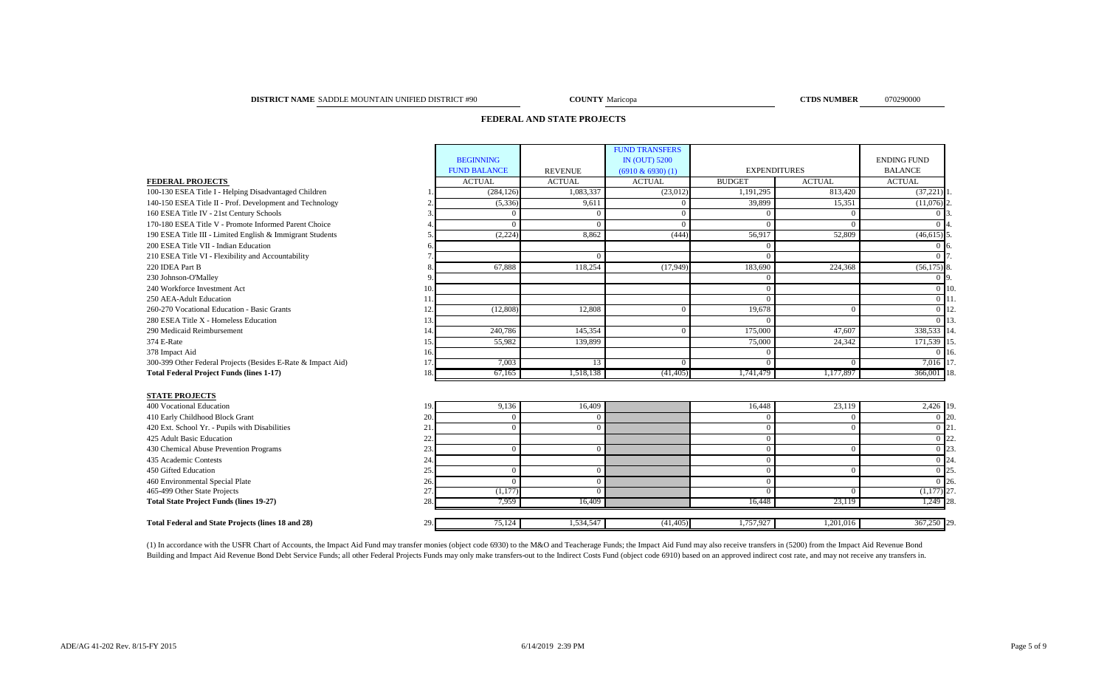#### **DISTRICT NAME COUNTY CTDS NUMBER** 070290000 SADDLE MOUNTAIN UNIFIED DISTRICT #90

**COUNTY** Maricopa

## **FEDERAL AND STATE PROJECTS**

|                                                              |     |                     |                | <b>FUND TRANSFERS</b> |                     |               |                    |            |
|--------------------------------------------------------------|-----|---------------------|----------------|-----------------------|---------------------|---------------|--------------------|------------|
|                                                              |     | <b>BEGINNING</b>    |                | <b>IN (OUT) 5200</b>  |                     |               | <b>ENDING FUND</b> |            |
|                                                              |     | <b>FUND BALANCE</b> | <b>REVENUE</b> | $(6910 \& 6930)$ (1)  | <b>EXPENDITURES</b> |               | <b>BALANCE</b>     |            |
| <b>FEDERAL PROJECTS</b>                                      |     | <b>ACTUAL</b>       | <b>ACTUAL</b>  | <b>ACTUAL</b>         | <b>BUDGET</b>       | <b>ACTUAL</b> | <b>ACTUAL</b>      |            |
| 100-130 ESEA Title I - Helping Disadvantaged Children        |     | (284, 126)          | 1.083.337      | (23,012)              | 1,191,295           | 813.420       | (37,221)           |            |
| 140-150 ESEA Title II - Prof. Development and Technology     |     | (5, 336)            | 9,611          | $\Omega$              | 39,899              | 15,351        | (11,076)           |            |
| 160 ESEA Title IV - 21st Century Schools                     |     | $\Omega$            | $\Omega$       | $\Omega$              | $\Omega$            | $\Omega$      |                    |            |
| 170-180 ESEA Title V - Promote Informed Parent Choice        |     | $\Omega$            | $\Omega$       | $\Omega$              | $\Omega$            | $\Omega$      |                    |            |
| 190 ESEA Title III - Limited English & Immigrant Students    |     | (2,224)             | 8.862          | (444)                 | 56,917              | 52,809        | $(46, 615)$ :      |            |
| 200 ESEA Title VII - Indian Education                        | 6   |                     |                |                       | $\Omega$            |               |                    |            |
| 210 ESEA Title VI - Flexibility and Accountability           |     |                     | $\Omega$       |                       | $\Omega$            |               |                    |            |
| 220 IDEA Part B                                              |     | 67.888              | 118,254        | (17,949)              | 183,690             | 224,368       | (56,175)           |            |
| 230 Johnson-O'Malley                                         | 9   |                     |                |                       | $\Omega$            |               | 0.19               |            |
| 240 Workforce Investment Act                                 | 10  |                     |                |                       | $\Omega$            |               | $\Omega$           | 110        |
| 250 AEA-Adult Education                                      | 11  |                     |                |                       | $\Omega$            |               | $\Omega$           |            |
| 260-270 Vocational Education - Basic Grants                  | 12  | (12,808)            | 12,808         | $\Omega$              | 19,678              | $\Omega$      | $\Omega$           |            |
| 280 ESEA Title X - Homeless Education                        | 13  |                     |                |                       | $\Omega$            |               | $\Omega$           |            |
| 290 Medicaid Reimbursement                                   | 14  | 240,786             | 145,354        | $\Omega$              | 175,000             | 47,607        | 338,533            |            |
| 374 E-Rate                                                   | 15  | 55,982              | 139,899        |                       | 75,000              | 24,342        | 171,539            |            |
| 378 Impact Aid                                               | 16. |                     |                |                       | $\Omega$            |               | $\Omega$           |            |
| 300-399 Other Federal Projects (Besides E-Rate & Impact Aid) | 17  | 7,003               | 13             | $\Omega$              | $\Omega$            | $\Omega$      | 7,016              |            |
| <b>Total Federal Project Funds (lines 1-17)</b>              | 18. | 67,165              | 1,518,138      | (41, 405)             | 1,741,479           | 1,177,897     | 366,001 18         |            |
|                                                              |     |                     |                |                       |                     |               |                    |            |
| <b>STATE PROJECTS</b>                                        |     |                     |                |                       |                     |               |                    |            |
| 400 Vocational Education                                     | 19  | 9,136               | 16,409         |                       | 16,448              | 23,119        | 2,426 19.          |            |
| 410 Early Childhood Block Grant                              | 20  | $\mathbf{0}$        | $\mathbf{0}$   |                       | $\Omega$            | $\mathbf{0}$  | 0 20               |            |
| 420 Ext. School Yr. - Pupils with Disabilities               | 21  | $\Omega$            | $\Omega$       |                       | $\Omega$            | $\Omega$      | 0 <sup>121</sup>   |            |
| 425 Adult Basic Education                                    | 22  |                     |                |                       | $\mathbf{0}$        |               | 0.122              |            |
| 430 Chemical Abuse Prevention Programs                       | 23. | $\Omega$            | $\overline{0}$ |                       | $\Omega$            | $\Omega$      | $\Omega$           |            |
| 435 Academic Contests                                        | 24  |                     |                |                       | $\Omega$            |               | $\Omega$           |            |
| 450 Gifted Education                                         | 25  | $\Omega$            | $\mathbf{0}$   |                       | $\Omega$            | $\Omega$      | $\Omega$           |            |
| 460 Environmental Special Plate                              | 26  | $\Omega$            | $\Omega$       |                       | $\Omega$            |               | $\Omega$           | <b>126</b> |
| 465-499 Other State Projects                                 | 27  | (1,177)             | $\Omega$       |                       | $\Omega$            | $\Omega$      | $(1,177)$ 27       |            |
| <b>Total State Project Funds (lines 19-27)</b>               | 28  | 7,959               | 16,409         |                       | 16,448              | 23,119        | 1,249 28           |            |
|                                                              |     |                     |                |                       |                     |               |                    |            |
| <b>Total Federal and State Projects (lines 18 and 28)</b>    | 29  | 75,124              | 1,534,547      | (41, 405)             | 1,757,927           | 1,201,016     | 367,250 29.        |            |

(1) In accordance with the USFR Chart of Accounts, the Impact Aid Fund may transfer monies (object code 6930) to the M&O and Teacherage Funds; the Impact Aid Fund may also receive transfers in (5200) from the Impact Aid Re Building and Impact Aid Revenue Bond Debt Service Funds; all other Federal Projects Funds may only make transfers-out to the Indirect Costs Fund (object code 6910) based on an approved indirect cost rate, and may not recei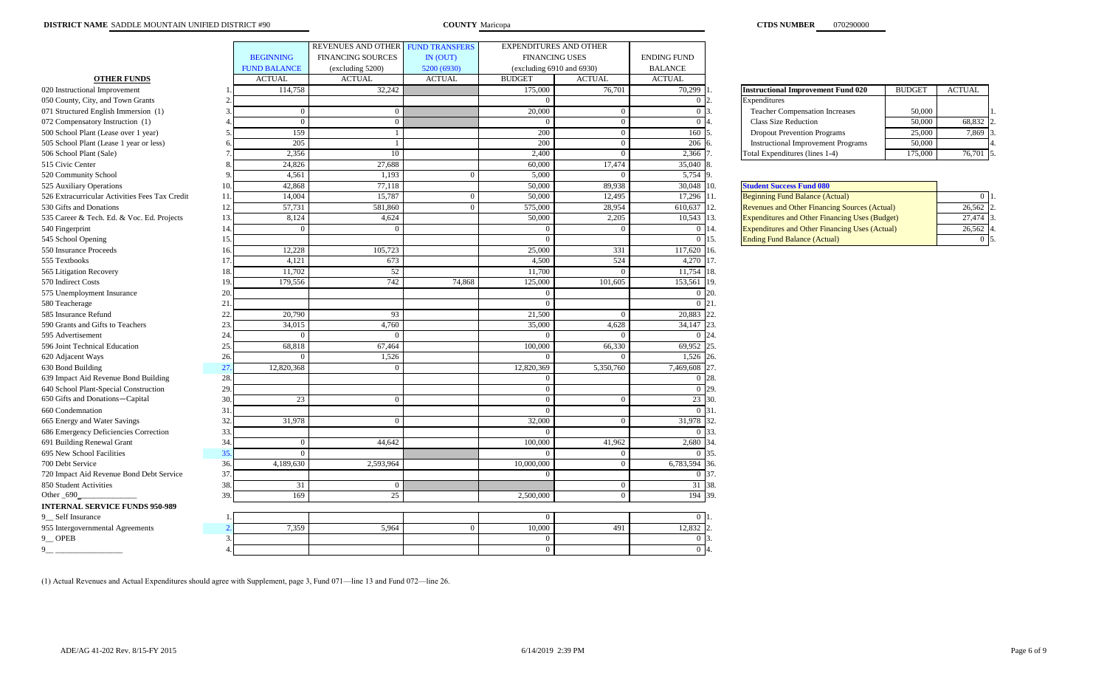|                                                |     |                     | REVENUES AND OTHER       | <b>FUND TRANSFERS</b> | EXPENDITURES AND OTHER         |               |                       |                                                       |               |                |
|------------------------------------------------|-----|---------------------|--------------------------|-----------------------|--------------------------------|---------------|-----------------------|-------------------------------------------------------|---------------|----------------|
|                                                |     | <b>BEGINNING</b>    | <b>FINANCING SOURCES</b> | IN (OUT)              | <b>FINANCING USES</b>          |               | <b>ENDING FUND</b>    |                                                       |               |                |
|                                                |     | <b>FUND BALANCE</b> | (excluding 5200)         | 5200 (6930)           | (excluding $6910$ and $6930$ ) |               | <b>BALANCE</b>        |                                                       |               |                |
| <b>OTHER FUNDS</b>                             |     | <b>ACTUAL</b>       | <b>ACTUAL</b>            | <b>ACTUAL</b>         | <b>BUDGET</b>                  | <b>ACTUAL</b> | <b>ACTUAL</b>         |                                                       |               |                |
| 020 Instructional Improvement                  |     | 114,758             | 32,242                   |                       | 175,000                        | 76,701        | 70,299                | <b>Instructional Improvement Fund 020</b>             | <b>BUDGET</b> | <b>ACTUAL</b>  |
| 050 County, City, and Town Grants              |     |                     |                          |                       | - 0                            |               | $\overline{0}$        | Expenditures                                          |               |                |
| 071 Structured English Immersion (1)           |     | $\overline{0}$      | $\overline{0}$           |                       | 20,000                         | $\Omega$      | $\Omega$              | <b>Teacher Compensation Increases</b>                 | 50,000        |                |
| 072 Compensatory Instruction (1)               |     | $\overline{0}$      | $\overline{0}$           |                       |                                | $\Omega$      | $\Omega$              | <b>Class Size Reduction</b>                           | 50,000        | 68,832         |
| 500 School Plant (Lease over 1 year)           |     | 159                 |                          |                       | 200                            | $\Omega$      | 160                   | <b>Dropout Prevention Programs</b>                    | 25,000        | 7,869          |
| 505 School Plant (Lease 1 year or less)        |     | 205                 |                          |                       | 200                            | $\Omega$      | 206                   | <b>Instructional Improvement Programs</b>             | 50,000        |                |
| 506 School Plant (Sale)                        |     | 2,356               | 10                       |                       | 2,400                          | $\Omega$      | 2,366                 | Total Expenditures (lines 1-4)                        | 175,000       | 76,701         |
| 515 Civic Center                               |     | 24,826              | 27,688                   |                       | 60,000                         | 17,474        | 35,040                |                                                       |               |                |
| 520 Community School                           |     | 4,561               | 1,193                    |                       | 5,000                          |               | 5,754<br>9.           |                                                       |               |                |
| 525 Auxiliary Operations                       | 10  | 42,868              | 77,118                   |                       | 50,000                         | 89,938        | 30,048<br>10.         | <b>Student Success Fund 080</b>                       |               |                |
| 526 Extracurricular Activities Fees Tax Credit | 11  | 14,004              | 15,787                   | $\overline{0}$        | 50,000                         | 12,495        | 17,296 11.            | <b>Beginning Fund Balance (Actual)</b>                |               | $\overline{0}$ |
| 530 Gifts and Donations                        | 12  | 57,731              | 581,860                  | $\Omega$              | 575,000                        | 28,954        | 610,637 12.           | <b>Revenues and Other Financing Sources (Actual)</b>  |               | 26,562         |
| 535 Career & Tech. Ed. & Voc. Ed. Projects     | 13. | 8,124               | 4,624                    |                       | 50,000                         | 2,205         | 10,543 13.            | <b>Expenditures and Other Financing Uses (Budget)</b> |               | 27,474         |
| 540 Fingerprint                                | 14  | $\overline{0}$      | $\Omega$                 |                       |                                | $\Omega$      | 14.<br>$\overline{0}$ | <b>Expenditures and Other Financing Uses (Actual)</b> |               | 26,562         |
| 545 School Opening                             | 15  |                     |                          |                       |                                |               | 15.<br>$\overline{0}$ | <b>Ending Fund Balance (Actual)</b>                   |               | $\overline{0}$ |
| 550 Insurance Proceeds                         | 16  | 12,228              | 105,723                  |                       | 25,000                         | 331           | 16.<br>117,620        |                                                       |               |                |
| 555 Textbooks                                  | 17  | 4,121               | 673                      |                       | 4,500                          | 524           | 4,270 17.             |                                                       |               |                |
| 565 Litigation Recovery                        | 18  | 11,702              | 52                       |                       | 11,700                         | $\Omega$      | 11,754 18.            |                                                       |               |                |
| 570 Indirect Costs                             | 19  | 179,556             | 742                      | 74,868                | 125,000                        | 101,605       | 153,561 19.           |                                                       |               |                |
| 575 Unemployment Insurance                     | 20  |                     |                          |                       |                                |               | 20.<br>$\Omega$       |                                                       |               |                |
| 580 Teacherage                                 | 21  |                     |                          |                       | - 0                            |               | 21.<br>$\Omega$       |                                                       |               |                |
| 585 Insurance Refund                           | 22  | 20,790              | 93                       |                       | 21,500                         | $\Omega$      | 20,883 22.            |                                                       |               |                |
| 590 Grants and Gifts to Teachers               | 23  | 34,015              | 4,760                    |                       | 35,000                         | 4,628         | 34,147 23.            |                                                       |               |                |
| 595 Advertisement                              | 24  | $\overline{0}$      | $\Omega$                 |                       |                                | $\Omega$      | $0\,$ 24.             |                                                       |               |                |
| 596 Joint Technical Education                  | 25  | 68,818              | 67,464                   |                       | 100,000                        | 66,330        | 69,952<br>25.         |                                                       |               |                |
| 620 Adjacent Ways                              | 26  | $\Omega$            | 1,526                    |                       |                                |               | 1,526<br>26.          |                                                       |               |                |
| 630 Bond Building                              | 27  | 12,820,368          |                          |                       | 12,820,369                     | 5,350,760     | 27.<br>7,469,608      |                                                       |               |                |
| 639 Impact Aid Revenue Bond Building           | 28  |                     |                          |                       |                                |               | 28.<br>$\Omega$       |                                                       |               |                |
| 640 School Plant-Special Construction          | 29. |                     |                          |                       | $\Omega$                       |               | 29.<br>$\overline{0}$ |                                                       |               |                |
| 650 Gifts and Donations-Capital                | 30  | 23                  | $\overline{0}$           |                       | $\Omega$                       | $\Omega$      | 23 30.                |                                                       |               |                |
| 660 Condemnation                               | 31  |                     |                          |                       | - 0                            |               | $0\,31.$              |                                                       |               |                |
| 665 Energy and Water Savings                   | 32  | 31,978              | $\Omega$                 |                       | 32,000                         | $\Omega$      | 32.<br>31,978         |                                                       |               |                |
| 686 Emergency Deficiencies Correction          | 33  |                     |                          |                       |                                |               | 0 33.                 |                                                       |               |                |
| 691 Building Renewal Grant                     | 34  | $\mathbf{0}$        | 44,642                   |                       | 100,000                        | 41,962        | 2,680<br>34.          |                                                       |               |                |
| 695 New School Facilities                      | 35. | $\overline{0}$      |                          |                       |                                | $\Omega$      | 35.<br>$\overline{0}$ |                                                       |               |                |
| 700 Debt Service                               | 36  | 4,189,630           | 2,593,964                |                       | 10,000,000                     | $\Omega$      | 6,783,594<br>36.      |                                                       |               |                |
| 720 Impact Aid Revenue Bond Debt Service       | 37  |                     |                          |                       |                                |               | 37.<br>$\overline{0}$ |                                                       |               |                |
| 850 Student Activities                         | 38. | 31                  | $\overline{0}$           |                       |                                | $\bf{0}$      | 31 38.                |                                                       |               |                |
| Other_690_                                     | 39  | 169                 | 25                       |                       | 2,500,000                      | $\Omega$      | 194 39.               |                                                       |               |                |
| <b>INTERNAL SERVICE FUNDS 950-989</b>          |     |                     |                          |                       |                                |               |                       |                                                       |               |                |
| 9 Self Insurance                               |     |                     |                          |                       |                                |               | $\Omega$              |                                                       |               |                |
| 955 Intergovernmental Agreements               |     | 7,359               | 5,964                    | $\Omega$              | 10,000                         | 491           | 12,832                |                                                       |               |                |
| 9 OPEB                                         | 3   |                     |                          |                       | $\Omega$                       |               | $\Omega$              |                                                       |               |                |
| 9                                              |     |                     |                          |                       | $\Omega$                       |               | $\Omega$              |                                                       |               |                |

| nstructional Improvement Fund 020          | <b>BUDGET</b> | <b>ACTUAL</b> |    |
|--------------------------------------------|---------------|---------------|----|
| Expenditures                               |               |               |    |
| <b>Teacher Compensation Increases</b>      | 50,000        |               |    |
| <b>Class Size Reduction</b>                | 50,000        | 68,832        |    |
| <b>Dropout Prevention Programs</b>         | 25,000        | 7,869         |    |
| <b>Instructional Improvement Programs</b>  | 50,000        |               | 4. |
| (lines 1-4) Total Expenditures (lines 1-4) | 175,000       | 76.70         |    |

| <b>Student Success Fund 080</b>                       |                        |
|-------------------------------------------------------|------------------------|
| <b>Beginning Fund Balance (Actual)</b>                |                        |
| <b>Revenues and Other Financing Sources (Actual)</b>  | 26.562<br>$\mathbf{D}$ |
| <b>Expenditures and Other Financing Uses (Budget)</b> | 27,474<br>13.          |
| <b>Expenditures and Other Financing Uses (Actual)</b> | 26,562<br>4.           |
| <b>Ending Fund Balance (Actual)</b>                   |                        |

(1) Actual Revenues and Actual Expenditures should agree with Supplement, page 3, Fund 071—line 13 and Fund 072—line 26.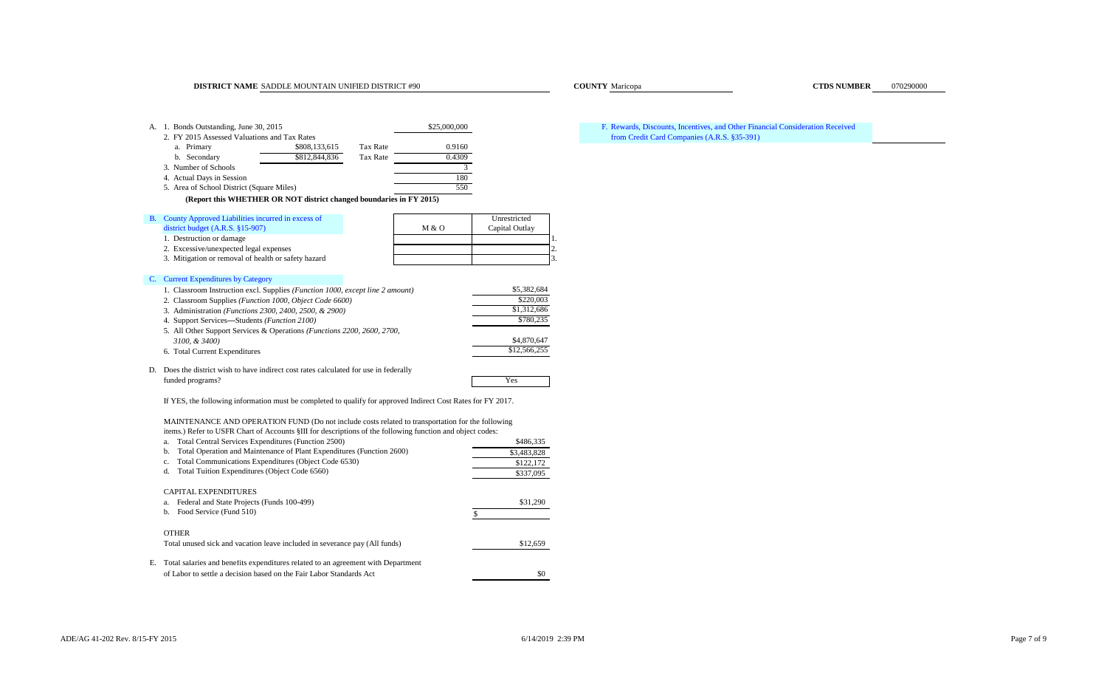#### **DISTRICT NAME** SADDLE MOUNTAIN UNIFIED DISTRICT #90 **COUNTY COUNTY** Maricopa **COUNTY COUNTY COUNTY COUNTY COUNTY COUNTY COUNTY COUNTY COUNTY COUNTY COUNTY COUNTY COUNTY COUNTY COUNTY COUNTY**

| А. | 1. Bonds Outstanding, June 30, 2015                                                |                 | \$25,000,000 |                | F. |
|----|------------------------------------------------------------------------------------|-----------------|--------------|----------------|----|
|    | 2. FY 2015 Assessed Valuations and Tax Rates                                       |                 |              |                |    |
|    | \$808,133,615<br>a. Primary                                                        | <b>Tax Rate</b> | 0.9160       |                |    |
|    | \$812,844,836<br>b. Secondary                                                      | <b>Tax Rate</b> | 0.4309       |                |    |
|    | 3. Number of Schools                                                               |                 | 3.           |                |    |
|    | 4. Actual Days in Session                                                          |                 | 180          |                |    |
|    | 5. Area of School District (Square Miles)                                          |                 | 550          |                |    |
|    | (Report this WHETHER OR NOT district changed boundaries in FY 2015)                |                 |              |                |    |
| B. | County Approved Liabilities incurred in excess of                                  |                 |              | Unrestricted   |    |
|    | district budget $(A.R.S. §15-907)$                                                 |                 | M & O        | Capital Outlay |    |
|    | 1. Destruction or damage                                                           |                 |              |                | ı. |
|    | 2. Excessive/unexpected legal expenses                                             |                 |              |                | 2. |
|    | 3. Mitigation or removal of health or safety hazard                                |                 |              |                | 3. |
|    |                                                                                    |                 |              |                |    |
| C. | <b>Current Expenditures by Category</b>                                            |                 |              |                |    |
|    | 1. Classroom Instruction excl. Supplies (Function 1000, except line 2 amount)      |                 |              | \$5,382,684    |    |
|    | 2. Classroom Supplies (Function 1000, Object Code 6600)                            |                 |              | \$220,003      |    |
|    | 3. Administration (Functions 2300, 2400, 2500, & 2900)                             |                 | \$1,312,686  |                |    |
|    | 4. Support Services—Students (Function 2100)                                       |                 | \$780,235    |                |    |
|    | 5. All Other Support Services & Operations (Functions 2200, 2600, 2700,            |                 |              |                |    |
|    | 3100, & 3400)                                                                      |                 |              | \$4,870,647    |    |
|    | 6. Total Current Expenditures                                                      |                 |              | \$12,566,255   |    |
| D. | Does the district wish to have indirect cost rates calculated for use in federally |                 |              |                |    |

D. Does the district wish to have indirect cost rates calculated for use in federally funded programs? Yes

If YES, the following information must be completed to qualify for approved Indirect Cost Rates for FY 2017.

MAINTENANCE AND OPERATION FUND (Do not include costs related to transportation for the following items.) Refer to USFR Chart of Accounts §III for descriptions of the following function and object codes:

| Total Central Services Expenditures (Function 2500)<br>a.                        | \$486,335   |
|----------------------------------------------------------------------------------|-------------|
| Total Operation and Maintenance of Plant Expenditures (Function 2600)<br>b.      | \$3,483,828 |
| Total Communications Expenditures (Object Code 6530)<br>c.                       | \$122,172   |
| Total Tuition Expenditures (Object Code 6560)<br>d.                              | \$337,095   |
| <b>CAPITAL EXPENDITURES</b>                                                      |             |
| Federal and State Projects (Funds 100-499)<br>a.                                 | \$31,290    |
| Food Service (Fund 510)<br>b.                                                    |             |
| <b>OTHER</b>                                                                     |             |
| Total unused sick and vacation leave included in severance pay (All funds)       | \$12,659    |
| Total salaries and benefits expenditures related to an agreement with Department |             |
| of Labor to settle a decision based on the Fair Labor Standards Act              | \$0         |

#### Rewards, Discounts, Incentives, and Other Financial Consideration Received from Credit Card Companies (A.R.S. §35-391)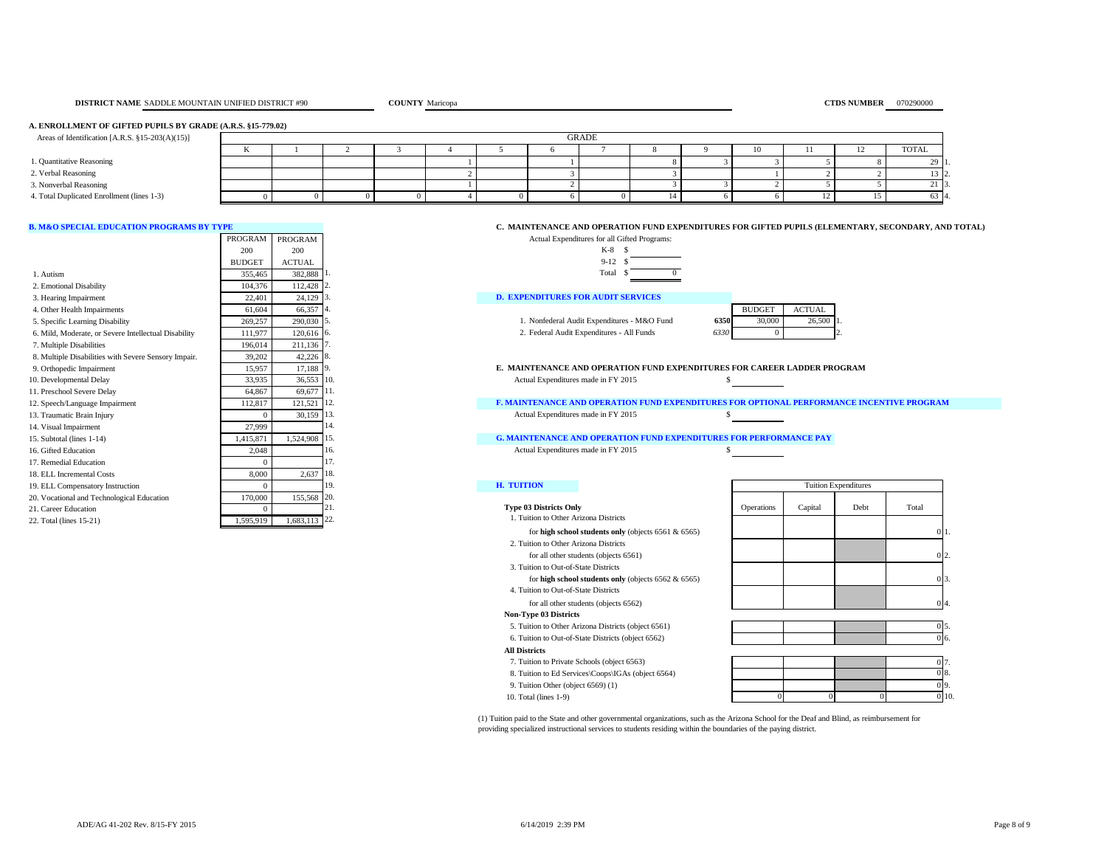#### **A. ENROLLMENT OF GIFTED PUPILS BY GRADE (A.R.S. §15-779.02)**

| Areas of Identification [A.R.S. §15-203(A)(15)] | <b>GRADE</b> |  |  |  |  |  |  |  |    |  |                 |
|-------------------------------------------------|--------------|--|--|--|--|--|--|--|----|--|-----------------|
|                                                 |              |  |  |  |  |  |  |  | 10 |  | TOTAL           |
| 1. Quantitative Reasoning                       |              |  |  |  |  |  |  |  |    |  | - 49            |
| 2. Verbal Reasoning                             |              |  |  |  |  |  |  |  |    |  |                 |
| 3. Nonverbal Reasoning                          |              |  |  |  |  |  |  |  |    |  | 21 <sup>1</sup> |
| 4. Total Duplicated Enrollment (lines 1-3)      |              |  |  |  |  |  |  |  |    |  | 63 4            |

|                                                      | PROGRAM       | PROGRAM       | Actual Expenditures for all Gifted Programs:                                                 |               |               |                             |       |
|------------------------------------------------------|---------------|---------------|----------------------------------------------------------------------------------------------|---------------|---------------|-----------------------------|-------|
|                                                      | 200           | 200           | $K-8$ \$                                                                                     |               |               |                             |       |
|                                                      | <b>BUDGET</b> | <b>ACTUAL</b> | $9-12S$                                                                                      |               |               |                             |       |
| 1. Autism                                            | 355,465       | 382,888       | Total \$                                                                                     |               |               |                             |       |
| 2. Emotional Disability                              | 104.376       | 112,428       |                                                                                              |               |               |                             |       |
| 3. Hearing Impairment                                | 22,401        | 24,129        | <b>D. EXPENDITURES FOR AUDIT SERVICES</b>                                                    |               |               |                             |       |
| 4. Other Health Impairments                          | 61.604        | 66.357        |                                                                                              | <b>BUDGET</b> | <b>ACTUAL</b> |                             |       |
| 5. Specific Learning Disability                      | 269,257       | 290,030       | 1. Nonfederal Audit Expenditures - M&O Fund<br>6350                                          | 30,000        | 26,500        |                             |       |
| 6. Mild, Moderate, or Severe Intellectual Disability | 111,977       | 120,616 6.    | 2. Federal Audit Expenditures - All Funds<br>6330                                            | $\Omega$      |               |                             |       |
| 7. Multiple Disabilities                             | 196,014       | 211,136       |                                                                                              |               |               |                             |       |
| 8. Multiple Disabilities with Severe Sensory Impair. | 39,202        | 42,226 8      |                                                                                              |               |               |                             |       |
| 9. Orthopedic Impairment                             | 15,957        | 17,188 9      | E. MAINTENANCE AND OPERATION FUND EXPENDITURES FOR CAREER LADDER PROGRAM                     |               |               |                             |       |
| 10. Developmental Delay                              | 33,935        | 36,553 10.    | Actual Expenditures made in FY 2015                                                          |               |               |                             |       |
| 11. Preschool Severe Delay                           | 64,867        | 69,677 11.    |                                                                                              |               |               |                             |       |
| 12. Speech/Language Impairment                       | 112,817       | 121,521 12.   | <b>F. MAINTENANCE AND OPERATION FUND EXPENDITURES FOR OPTIONAL PERFORMANCE INCENTIVE PRO</b> |               |               |                             |       |
| 13. Traumatic Brain Injury                           |               | 30.159 13.    | Actual Expenditures made in FY 2015                                                          |               |               |                             |       |
| 14. Visual Impairment                                | 27,999        |               |                                                                                              |               |               |                             |       |
| 15. Subtotal (lines 1-14)                            | 1.415.871     | 1,524,908 15. | <b>G. MAINTENANCE AND OPERATION FUND EXPENDITURES FOR PERFORMANCE PAY</b>                    |               |               |                             |       |
| 16. Gifted Education                                 | 2.048         |               | Actual Expenditures made in FY 2015<br>16.                                                   |               |               |                             |       |
| 17. Remedial Education                               |               |               |                                                                                              |               |               |                             |       |
| 18. ELL Incremental Costs                            | 8,000         | 2,637         | 18.                                                                                          |               |               |                             |       |
| 19. ELL Compensatory Instruction                     |               |               | <b>H. TUITION</b><br>19.                                                                     |               |               | <b>Tuition Expenditures</b> |       |
| 20. Vocational and Technological Education           | 170,000       | 155,568       | 20.                                                                                          |               |               |                             |       |
| 21. Career Education                                 |               |               | <b>Type 03 Districts Only</b>                                                                | Operations    | Capital       | Debt                        | Total |
| 22. Total (lines 15-21)                              | 1.595.919     | 1,683,113 22. | . Tuition to Other Arizona Districts                                                         |               |               |                             |       |

#### **B. M&O SPECIAL EDUCATION PROGRAMS BY TYPE C. MAINTENANCE AND OPERATION FUND EXPENDITURES FOR GIFTED PUPILS (ELEMENTARY, SECONDARY, AND TOTAL)**



| <b>RVICES</b> |       |               |
|---------------|-------|---------------|
|               |       | <b>BUDGET</b> |
| $M\&O$ Fund   | 6350. | 30.00         |

| 2. Federal Audit Expenditures - All Funds |  |  |  |  |
|-------------------------------------------|--|--|--|--|

|    | BUDGET | AC'I'I I AL |  |
|----|--------|-------------|--|
| 50 | 30,000 | 26.500      |  |
| 30 |        |             |  |
|    |        |             |  |

| <b>Type 03 Districts Only</b><br>1. Tuition to Other Arizona Districts |
|------------------------------------------------------------------------|
| for high school students only (objects $6561 & 6565$ )                 |
| 2. Tuition to Other Arizona Districts                                  |

| for all other students (objects 6561) |  |
|---------------------------------------|--|
| 3. Tuition to Out-of-State Districts  |  |

for **high school students only** (objects 6562 & 6565)

 4. Tuition to Out-of-State Districts for all other students (objects 6562)

#### **Non-Type 03 Districts**

 5. Tuition to Other Arizona Districts (object 6561) 0 5. 6. Tuition to Out-of-State Districts (object 6562)

- 8. Tuition to Ed Services\Coops\IGAs (object 6564)
- 9. Tuition Other (object  $6569$ ) (1)
- 

| $\alpha$ . Funding to Out-of-State Districts (object $0.02$ ) |  |     | $\mathbf{v} \cdot$ |
|---------------------------------------------------------------|--|-----|--------------------|
| <b>All Districts</b>                                          |  |     |                    |
| 7. Tuition to Private Schools (object 6563)                   |  | 07. |                    |
| 8. Tuition to Ed Services\Coops\IGAs (object 6564)            |  |     | 0 8.               |
| 9. Tuition Other (object 6569) (1)                            |  |     | 09                 |
| $10.$ Total (lines $1-9$ )                                    |  |     | 0 10.              |

(1) Tuition paid to the State and other governmental organizations, such as the Arizona School for the Deaf and Blind, as reimbursement for providing specialized instructional services to students residing within the boundaries of the paying district.

0 1. 0 2. 0 3.  $\Omega$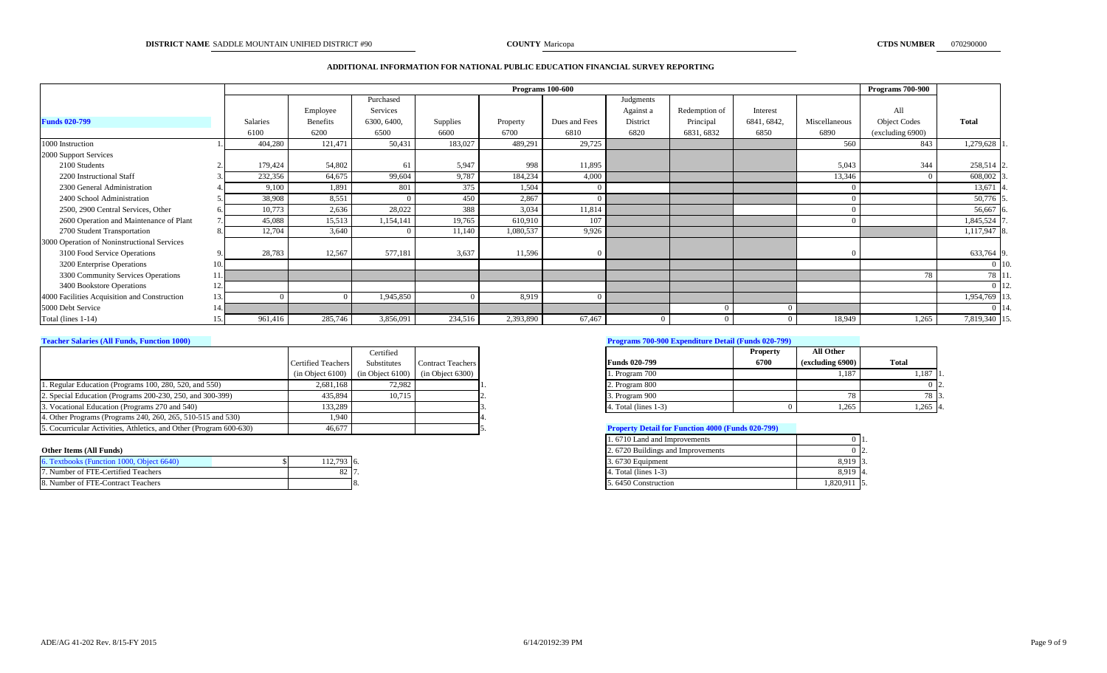#### **ADDITIONAL INFORMATION FOR NATIONAL PUBLIC EDUCATION FINANCIAL SURVEY REPORTING**

|                                              |                 |                 |             |          |           | Programs $100 - 600$ |           |               |             |               | <b>Programs 700-900</b> |               |
|----------------------------------------------|-----------------|-----------------|-------------|----------|-----------|----------------------|-----------|---------------|-------------|---------------|-------------------------|---------------|
|                                              |                 |                 | Purchased   |          |           |                      | Judgments |               |             |               |                         |               |
|                                              |                 | Employee        | Services    |          |           |                      | Against a | Redemption of | Interest    |               | All                     |               |
| <b>Funds 020-799</b>                         | <b>Salaries</b> | <b>Benefits</b> | 6300, 6400, | Supplies | Property  | Dues and Fees        | District  | Principal     | 6841, 6842, | Miscellaneous | <b>Object Codes</b>     | <b>Total</b>  |
|                                              | 6100            | 6200            | 6500        | 6600     | 6700      | 6810                 | 6820      | 6831, 6832    | 6850        | 6890          | (excluding 6900)        |               |
| 1000 Instruction                             | 404,280         | 121,471         | 50,431      | 183,027  | 489,291   | 29,725               |           |               |             | 560           | 843                     | 1,279,628     |
| 2000 Support Services                        |                 |                 |             |          |           |                      |           |               |             |               |                         |               |
| 2100 Students                                | 179,424         | 54,802          | 61          | 5,947    | 998       | 11,895               |           |               |             | 5,043         | 344                     | 258,514 2     |
| 2200 Instructional Staff                     | 232,356         | 64,675          | 99,604      | 9,787    | 184,234   | 4,000                |           |               |             | 13,346        | $\Omega$                | 608,002       |
| 2300 General Administration                  | 9,100           | 1,891           | 801         | 375      | 1,504     |                      |           |               |             |               |                         | 13,671 4      |
| 2400 School Administration                   | 38,908          | 8,551           |             | 450      | 2,867     |                      |           |               |             |               |                         | 50,776 :      |
| 2500, 2900 Central Services, Other           | 10,773          | 2,636           | 28,022      | 388      | 3,034     | 11,814               |           |               |             |               |                         | $56,667$ 6    |
| 2600 Operation and Maintenance of Plant      | 45,088          | 15,513          | 1,154,141   | 19,765   | 610,910   | 107                  |           |               |             |               |                         | 1,845,524     |
| 2700 Student Transportation                  | 12,704          | 3,640           |             | 11,140   | 1,080,537 | 9,926                |           |               |             |               |                         | 1,117,947 8   |
| 3000 Operation of Noninstructional Services  |                 |                 |             |          |           |                      |           |               |             |               |                         |               |
| 3100 Food Service Operations                 | 28,783          | 12,567          | 577,181     | 3,637    | 11,596    |                      |           |               |             |               |                         | 633,764 9     |
| 3200 Enterprise Operations                   |                 |                 |             |          |           |                      |           |               |             |               |                         | $0$ 10.       |
| 3300 Community Services Operations           |                 |                 |             |          |           |                      |           |               |             |               | 78                      | 78 11.        |
| 3400 Bookstore Operations                    |                 |                 |             |          |           |                      |           |               |             |               |                         | 0 Ⅰ 12        |
| 4000 Facilities Acquisition and Construction |                 |                 | 1,945,850   |          | 8,919     |                      |           |               |             |               |                         | 1,954,769 1   |
| 5000 Debt Service                            |                 |                 |             |          |           |                      |           |               |             |               |                         | $0 \mid 14$ . |
| Total (lines 1-14)                           | 961,416         | 285,746         | 3,856,091   | 234,516  | 2,393,890 | 67,467               |           |               |             | 18,949        | 1,265                   | 7,819,340 15. |

|                                                                    |                           | Certified                                                |                          |                                                          | <b>Property</b> | <b>All Other</b> |                  |
|--------------------------------------------------------------------|---------------------------|----------------------------------------------------------|--------------------------|----------------------------------------------------------|-----------------|------------------|------------------|
|                                                                    | <b>Certified Teachers</b> | Substitutes                                              | <b>Contract Teachers</b> | <b>Funds 020-799</b>                                     | 6700            | (excluding 6900) | <b>Total</b>     |
|                                                                    |                           | $(in Object 6100)$ $(in Object 6100)$ $(in Object 6300)$ |                          | 1. Program 700                                           |                 | 1,187            | 1.187 LI         |
| 1. Regular Education (Programs 100, 280, 520, and 550)             | 2,681,168                 | 72.982                                                   |                          | 2. Program 800                                           |                 |                  | 0 I <sub>2</sub> |
| 2. Special Education (Programs 200-230, 250, and 300-399)          | 435,894                   | 10.715                                                   |                          | 3. Program 900                                           |                 |                  | 78   3           |
| 3. Vocational Education (Programs 270 and 540)                     | 133,289                   |                                                          |                          | 4. Total (lines 1-3)                                     |                 |                  | $1,265$ 4.       |
| 4. Other Programs (Programs 240, 260, 265, 510-515 and 530)        | 1.940                     |                                                          |                          |                                                          |                 |                  |                  |
| 5. Cocurricular Activities, Athletics, and Other (Program 600-630) | 46,677                    |                                                          |                          | <b>Property Detail for Function 4000 (Funds 020-799)</b> |                 |                  |                  |

#### **Other Items (All Funds)**

| 6. Textbooks (Function 1000, Object 6640) | 112,793 6. | 3.6730 Equipment    | 8,919 3.     |
|-------------------------------------------|------------|---------------------|--------------|
| 7. Number of FTE-Certified Teachers       |            | . Total (lines 1-3) | 8,919 4.     |
| 8. Number of FTE-Contract Teachers        |            | 5.6450 Construction | 1,820,911 5. |

#### **Teacher Salaries (All Funds, Function 1000) Programs 700-900 Expenditure Detail (Funds 020-799)**

|                         | <b>Property</b> | All Other        |       |
|-------------------------|-----------------|------------------|-------|
| <b>Funds 020-799</b>    | 6700            | (excluding 6900) | Total |
| 1. Program 700          |                 | 1,187            | 1,187 |
| 2. Program 800          |                 |                  |       |
| 3. Program 900          |                 | 78               | 78    |
| 4. Total (lines $1-3$ ) |                 | 1,265            | 1.265 |

#### **Froperty Detail for Function 4000 (Funds 020-799)**

| 1.6710 Land and Improvements      |           |
|-----------------------------------|-----------|
| 2.6720 Buildings and Improvements |           |
| 3.6730 Equipment                  | 8.919     |
| 4. Total (lines $1-3$ )           | 8.919     |
| 5.6450 Construction               | 1,820,911 |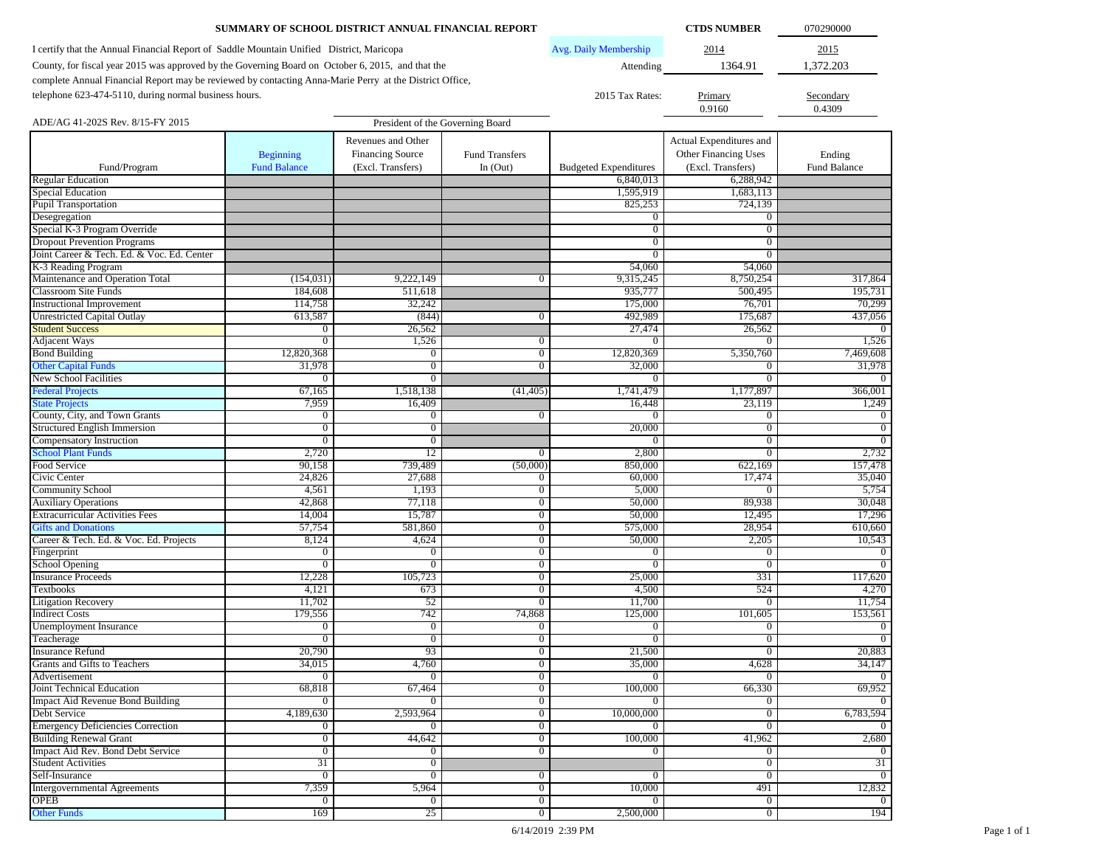|                                                                                                         | SUMMARY OF SCHOOL DISTRICT ANNUAL FINANCIAL REPORT |                                  |                                  |                                |                              |                     |  |  |
|---------------------------------------------------------------------------------------------------------|----------------------------------------------------|----------------------------------|----------------------------------|--------------------------------|------------------------------|---------------------|--|--|
| I certify that the Annual Financial Report of Saddle Mountain Unified District, Maricopa                | 2014                                               | 2015                             |                                  |                                |                              |                     |  |  |
| County, for fiscal year 2015 was approved by the Governing Board on October 6, 2015, and that the       | 1364.91                                            | 1,372.203                        |                                  |                                |                              |                     |  |  |
| complete Annual Financial Report may be reviewed by contacting Anna-Marie Perry at the District Office, |                                                    |                                  |                                  | Attending                      |                              |                     |  |  |
|                                                                                                         |                                                    |                                  |                                  |                                |                              |                     |  |  |
| telephone 623-474-5110, during normal business hours.                                                   |                                                    |                                  |                                  | 2015 Tax Rates:                | Primary<br>0.9160            | Secondary<br>0.4309 |  |  |
| ADE/AG 41-202S Rev. 8/15-FY 2015                                                                        |                                                    | President of the Governing Board |                                  |                                |                              |                     |  |  |
|                                                                                                         |                                                    |                                  |                                  |                                |                              |                     |  |  |
|                                                                                                         |                                                    | Revenues and Other               |                                  |                                | Actual Expenditures and      |                     |  |  |
|                                                                                                         | <b>Beginning</b>                                   | <b>Financing Source</b>          | <b>Fund Transfers</b>            |                                | Other Financing Uses         | Ending              |  |  |
| Fund/Program                                                                                            | <b>Fund Balance</b>                                | (Excl. Transfers)                | In $(Out)$                       | <b>Budgeted Expenditures</b>   | (Excl. Transfers)            | Fund Balance        |  |  |
| <b>Regular Education</b>                                                                                |                                                    |                                  |                                  | 6,840,013                      | 6,288,942                    |                     |  |  |
| <b>Special Education</b><br>Pupil Transportation                                                        |                                                    |                                  |                                  | 1,595,919                      | 1,683,113                    |                     |  |  |
|                                                                                                         |                                                    |                                  |                                  | 825,253                        | 724,139                      |                     |  |  |
| Desegregation<br>Special K-3 Program Override                                                           |                                                    |                                  |                                  | $\overline{0}$<br>$\mathbf{0}$ | $\mathbf{0}$<br>$\mathbf{0}$ |                     |  |  |
| <b>Dropout Prevention Programs</b>                                                                      |                                                    |                                  |                                  | $\mathbf{0}$                   | 0                            |                     |  |  |
| Joint Career & Tech. Ed. & Voc. Ed. Center                                                              |                                                    |                                  |                                  | $\overline{0}$                 | $\mathbf{0}$                 |                     |  |  |
| K-3 Reading Program                                                                                     |                                                    |                                  |                                  | 54,060                         | 54,060                       |                     |  |  |
| Maintenance and Operation Total                                                                         | (154, 031)                                         | 9,222,149                        | 0                                | 9,315,245                      | 8,750,254                    | 317,864             |  |  |
| <b>Classroom Site Funds</b>                                                                             | 184,608                                            | 511,618                          |                                  | 935,777                        | 500,495                      | 195,731             |  |  |
| <b>Instructional Improvement</b>                                                                        | 114,758                                            | 32,242                           |                                  | 175,000                        | 76,701                       | 70,299              |  |  |
| <b>Unrestricted Capital Outlay</b>                                                                      | 613,587                                            | (844)                            | $\overline{0}$                   | 492,989                        | 175,687                      | 437,056             |  |  |
| <b>Student Success</b>                                                                                  | $\mathbf{0}$                                       | 26,562                           |                                  | 27,474                         | 26,562                       |                     |  |  |
| <b>Adjacent Ways</b>                                                                                    | $\overline{0}$                                     | 1,526                            | $\overline{0}$                   | $\mathbf{0}$                   | $\overline{0}$               | 1,526               |  |  |
| <b>Bond Building</b>                                                                                    | 12,820,368                                         | 0                                | $\overline{0}$                   | 12,820,369                     | 5,350,760                    | 7,469,608           |  |  |
| <b>Other Capital Funds</b>                                                                              | 31,978                                             | $\boldsymbol{0}$                 | $\overline{0}$                   | 32,000                         | $\mathbf{0}$                 | 31,978              |  |  |
| <b>New School Facilities</b>                                                                            | 0                                                  | $\Omega$                         |                                  | $\Omega$                       | $\overline{0}$               |                     |  |  |
| <b>Federal Projects</b>                                                                                 | 67,165                                             | 1,518,138                        | (41, 405)                        | 1,741,479                      | 1,177,897                    | 366,001             |  |  |
| <b>State Projects</b>                                                                                   | 7,959                                              | 16,409                           |                                  | 16,448                         | 23,119                       | 1,249               |  |  |
| County, City, and Town Grants                                                                           | $\mathbf{0}$                                       | $\bf{0}$                         | $\overline{0}$                   | $\Omega$                       | $\bf{0}$                     | $\mathbf{0}$        |  |  |
| Structured English Immersion                                                                            | $\overline{0}$                                     | $\overline{0}$                   |                                  | 20,000                         | $\overline{0}$               | $\overline{0}$      |  |  |
| Compensatory Instruction                                                                                | $\overline{0}$                                     | $\bf{0}$                         |                                  | $\Omega$                       | $\mathbf{0}$                 | $\overline{0}$      |  |  |
| <b>School Plant Funds</b>                                                                               | 2,720                                              | 12                               | $\overline{0}$                   | 2,800                          | $\overline{0}$               | 2,732               |  |  |
| Food Service                                                                                            | 90,158                                             | 739,489                          | (50,000)                         | 850,000                        | 622,169                      | 157,478             |  |  |
| Civic Center                                                                                            | 24,826                                             | 27,688                           | $\overline{0}$                   | 60,000                         | 17,474                       | 35,040              |  |  |
| <b>Community School</b>                                                                                 | 4,561                                              | 1,193                            | $\overline{0}$                   | 5,000                          | $\mathbf{0}$                 | 5,754               |  |  |
| <b>Auxiliary Operations</b>                                                                             | 42,868                                             | 77,118                           | $\overline{0}$                   | 50,000                         | 89,938                       | 30,048              |  |  |
| <b>Extracurricular Activities Fees</b>                                                                  | 14,004                                             | 15,787                           | $\overline{0}$                   | 50,000                         | 12,495                       | 17,296              |  |  |
| <b>Gifts and Donations</b>                                                                              | 57,754                                             | 581,860                          | $\boldsymbol{0}$                 | 575,000                        | 28,954                       | 610,660             |  |  |
| Career & Tech. Ed. & Voc. Ed. Projects                                                                  | 8,124                                              | 4,624                            | $\overline{0}$                   | 50,000                         | 2,205                        | 10,543              |  |  |
| Fingerprint                                                                                             | $\mathbf{0}$                                       | 0                                | $\overline{0}$                   | $\mathbf{0}$                   | 0                            | $\overline{0}$      |  |  |
| School Opening                                                                                          | $\mathbf{0}$                                       | $\overline{0}$                   | $\overline{0}$                   | $\overline{0}$                 | $\overline{0}$               | $\Omega$            |  |  |
| <b>Insurance Proceeds</b>                                                                               | 12,228                                             | 105,723                          | $\overline{0}$                   | 25,000                         | 331<br>524                   | 117,620             |  |  |
| Textbooks                                                                                               | 4,121<br>11,702                                    | 673<br>52                        | $\overline{0}$<br>$\overline{0}$ | 4,500<br>11,700                | $\overline{0}$               | 4,270<br>11,754     |  |  |
| <b>Litigation Recovery</b><br><b>Indirect Costs</b>                                                     | 179,556                                            | 742                              | 74,868                           | 125,000                        | 101,605                      | 153,561             |  |  |
| Unemployment Insurance                                                                                  | $\bf{0}$                                           | $\overline{0}$                   | $\overline{0}$                   | $\overline{0}$                 | $\mathbf{0}$                 | $\mathbf{0}$        |  |  |
| Teacherage                                                                                              | $\mathbf{0}$                                       | $\boldsymbol{0}$                 | $\overline{0}$                   | $\overline{0}$                 | $\mathbf{0}$                 | $\overline{0}$      |  |  |
| <b>Insurance Refund</b>                                                                                 | 20,790                                             | 93                               | $\boldsymbol{0}$                 | 21,500                         | $\boldsymbol{0}$             | 20,883              |  |  |
| Grants and Gifts to Teachers                                                                            | 34,015                                             | 4,760                            | $\overline{0}$                   | 35,000                         | 4,628                        | 34,147              |  |  |
| Advertisement                                                                                           | $\overline{0}$                                     | $\overline{0}$                   | $\overline{0}$                   | $\overline{0}$                 | $\overline{0}$               |                     |  |  |
| Joint Technical Education                                                                               | 68,818                                             | 67,464                           | $\overline{0}$                   | 100,000                        | 66,330                       | 69,952              |  |  |
| <b>Impact Aid Revenue Bond Building</b>                                                                 | $\mathbf{0}$                                       | $\overline{0}$                   | $\overline{0}$                   | $\overline{0}$                 | $\overline{0}$               | $\overline{0}$      |  |  |
| Debt Service                                                                                            | 4,189,630                                          | 2,593,964                        | $\overline{0}$                   | 10,000,000                     | $\overline{0}$               | 6,783,594           |  |  |
| <b>Emergency Deficiencies Correction</b>                                                                | $\overline{0}$                                     | $\bf{0}$                         | $\overline{0}$                   | $\overline{0}$                 | $\overline{0}$               | $\overline{0}$      |  |  |
| <b>Building Renewal Grant</b>                                                                           | $\overline{0}$                                     | 44,642                           | $\overline{0}$                   | 100,000                        | 41,962                       | 2,680               |  |  |
| Impact Aid Rev. Bond Debt Service                                                                       | $\overline{0}$                                     | $\mathbf{0}$                     | $\overline{0}$                   | $\overline{0}$                 | $\overline{0}$               | $\mathbf{0}$        |  |  |
| <b>Student Activities</b>                                                                               | 31                                                 | $\overline{0}$                   |                                  |                                | $\overline{0}$               | 31                  |  |  |
| Self-Insurance                                                                                          | $\overline{0}$                                     | $\overline{0}$                   | $\overline{0}$                   | $\overline{0}$                 | $\overline{0}$               | $\overline{0}$      |  |  |
| <b>Intergovernmental Agreements</b>                                                                     | 7,359                                              | 5,964                            | $\overline{0}$                   | 10,000                         | 491                          | 12,832              |  |  |
| <b>OPEB</b>                                                                                             | $\overline{0}$                                     | $\mathbf{0}$                     | $\overline{0}$                   | $\overline{0}$                 | $\overline{0}$               | $\overline{0}$      |  |  |
| <b>Other Funds</b>                                                                                      | 169                                                | 25                               | $\overline{0}$                   | 2,500,000                      | $\overline{0}$               | 194                 |  |  |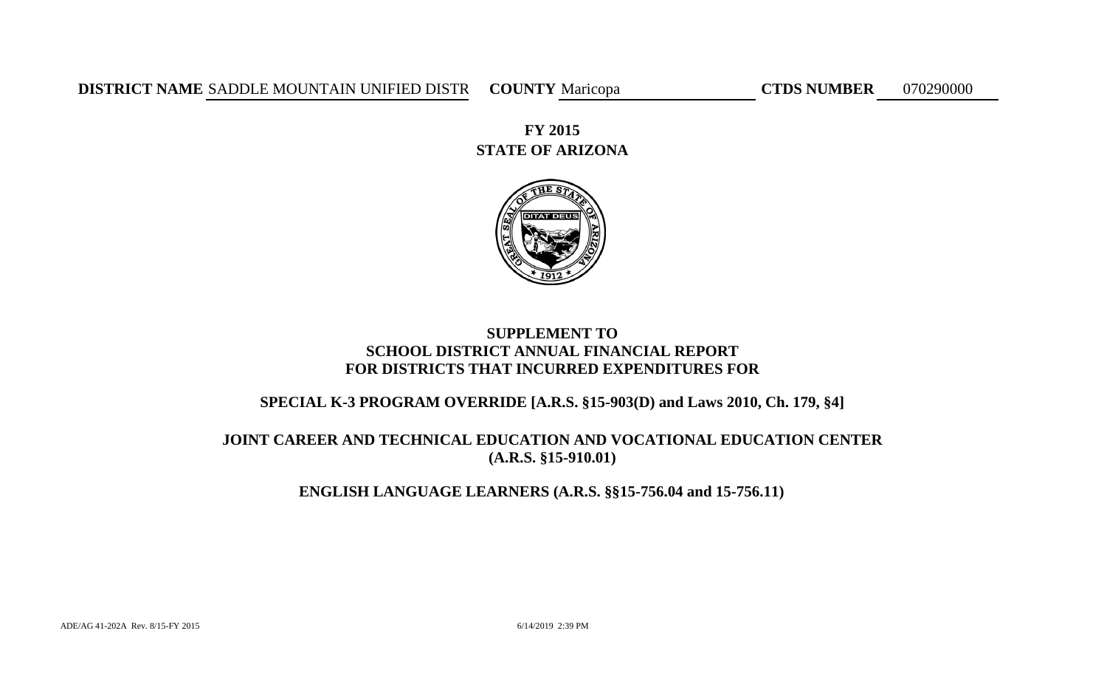**DISTRICT NAME** SADDLE MOUNTAIN UNIFIED DISTR COUNTY Maricopa CTDS NUMBER 070290000

**STATE OF ARIZONA FY 2015**



# **SUPPLEMENT TO SCHOOL DISTRICT ANNUAL FINANCIAL REPORT FOR DISTRICTS THAT INCURRED EXPENDITURES FOR**

# **SPECIAL K-3 PROGRAM OVERRIDE [A.R.S. §15-903(D) and Laws 2010, Ch. 179, §4]**

# **JOINT CAREER AND TECHNICAL EDUCATION AND VOCATIONAL EDUCATION CENTER (A.R.S. §15-910.01)**

# **ENGLISH LANGUAGE LEARNERS (A.R.S. §§15-756.04 and 15-756.11)**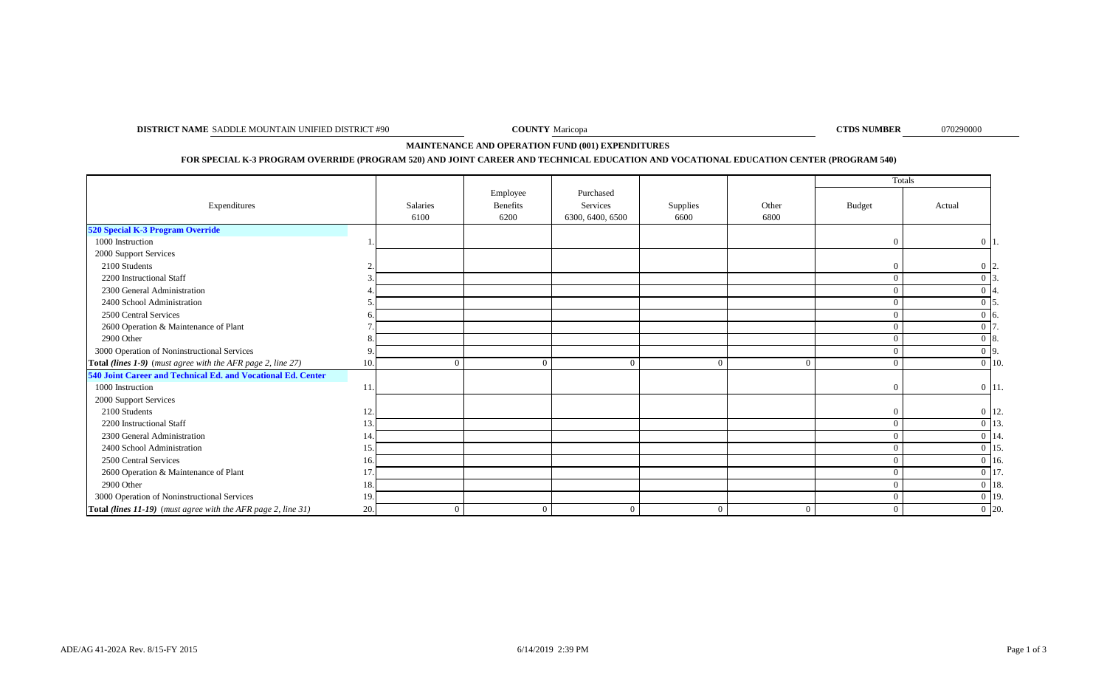**DISTRICT NAME** SADDLE MOUNTAIN UNIFIED DISTRICT #90 **COUNTY** Maricopa **COUNTY** Maricopa **COUNTY** Maricopa **COUNTY** 

**COUNTY** Maricopa

070290000

**MAINTENANCE AND OPERATION FUND (001) EXPENDITURES** 

**FOR SPECIAL K-3 PROGRAM OVERRIDE (PROGRAM 520) AND JOINT CAREER AND TECHNICAL EDUCATION AND VOCATIONAL EDUCATION CENTER (PROGRAM 540)**

|                                                               |     |                  |                              |                                           |                  |                | Totals         |                  |
|---------------------------------------------------------------|-----|------------------|------------------------------|-------------------------------------------|------------------|----------------|----------------|------------------|
| Expenditures                                                  |     | Salaries<br>6100 | Employee<br>Benefits<br>6200 | Purchased<br>Services<br>6300, 6400, 6500 | Supplies<br>6600 | Other<br>6800  | <b>Budget</b>  | Actual           |
| 520 Special K-3 Program Override                              |     |                  |                              |                                           |                  |                |                |                  |
| 1000 Instruction                                              |     |                  |                              |                                           |                  |                | $\theta$       | $0\vert 1$       |
| 2000 Support Services                                         |     |                  |                              |                                           |                  |                |                |                  |
| 2100 Students                                                 |     |                  |                              |                                           |                  |                | $\Omega$       | $0\,12.$         |
| 2200 Instructional Staff                                      |     |                  |                              |                                           |                  |                | $\Omega$       |                  |
| 2300 General Administration                                   |     |                  |                              |                                           |                  |                | $\Omega$       |                  |
| 2400 School Administration                                    |     |                  |                              |                                           |                  |                | $\Omega$       |                  |
| 2500 Central Services                                         |     |                  |                              |                                           |                  |                | $\Omega$       | $0\,$ 6.         |
| 2600 Operation & Maintenance of Plant                         |     |                  |                              |                                           |                  |                | $\theta$       | $\Omega$         |
| 2900 Other                                                    |     |                  |                              |                                           |                  |                | $\Omega$       | $\Omega$<br>-18. |
| 3000 Operation of Noninstructional Services                   |     |                  |                              |                                           |                  |                | $\Omega$       | $0\vert 9$ .     |
| Total (lines 1-9) (must agree with the AFR page 2, line 27)   |     | $\Omega$         | $\Omega$                     | $\Omega$                                  | $\Omega$         |                | $\theta$       | $0 \mid 10.$     |
| 540 Joint Career and Technical Ed. and Vocational Ed. Center  |     |                  |                              |                                           |                  |                |                |                  |
| 1000 Instruction                                              |     |                  |                              |                                           |                  |                | $\Omega$       | $0 \vert 11.$    |
| 2000 Support Services                                         |     |                  |                              |                                           |                  |                |                |                  |
| 2100 Students                                                 |     |                  |                              |                                           |                  |                | $\mathbf{0}$   | $0 \vert 12.$    |
| 2200 Instructional Staff                                      |     |                  |                              |                                           |                  |                | $\theta$       | $0\vert 13$      |
| 2300 General Administration                                   | 14  |                  |                              |                                           |                  |                | $\Omega$       | $0 \vert 14$ .   |
| 2400 School Administration                                    |     |                  |                              |                                           |                  |                | $\Omega$       | 0 15             |
| 2500 Central Services                                         |     |                  |                              |                                           |                  |                | $\theta$       | $0 \vert 16$ .   |
| 2600 Operation & Maintenance of Plant                         | 17  |                  |                              |                                           |                  |                | $\theta$       | $0\vert17$       |
| 2900 Other                                                    |     |                  |                              |                                           |                  |                | $\Omega$       | $0\vert 18$ .    |
| 3000 Operation of Noninstructional Services                   |     |                  |                              |                                           |                  |                | $\overline{0}$ | $0 \vert 19.$    |
| Total (lines 11-19) (must agree with the AFR page 2, line 31) | 20. | $\overline{0}$   | $\Omega$                     | $\mathbf{0}$                              | $\mathbf{0}$     | $\overline{0}$ | $\overline{0}$ | $0\vert 20.$     |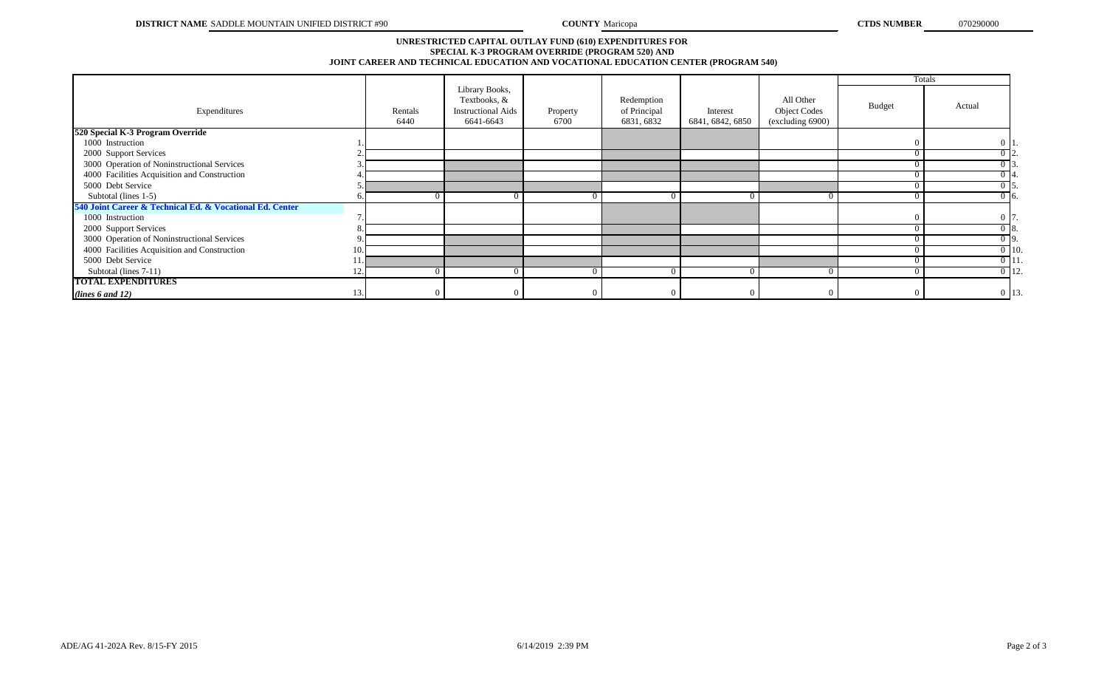#### **SPECIAL K-3 PROGRAM OVERRIDE (PROGRAM 520) AND JOINT CAREER AND TECHNICAL EDUCATION AND VOCATIONAL EDUCATION CENTER (PROGRAM 540) UNRESTRICTED CAPITAL OUTLAY FUND (610) EXPENDITURES FOR**

|                                                          |    |                 |                                                                          |                  |                                          |                              |                                                      | Totals        |                    |
|----------------------------------------------------------|----|-----------------|--------------------------------------------------------------------------|------------------|------------------------------------------|------------------------------|------------------------------------------------------|---------------|--------------------|
| Expenditures                                             |    | Rentals<br>6440 | Library Books,<br>Textbooks, &<br><b>Instructional Aids</b><br>6641-6643 | Property<br>6700 | Redemption<br>of Principal<br>6831, 6832 | Interest<br>6841, 6842, 6850 | All Other<br><b>Object Codes</b><br>(excluding 6900) | <b>Budget</b> | Actual             |
| 520 Special K-3 Program Override                         |    |                 |                                                                          |                  |                                          |                              |                                                      |               |                    |
| 1000 Instruction                                         |    |                 |                                                                          |                  |                                          |                              |                                                      | $\Omega$      | $0\vert 1$         |
| 2000 Support Services                                    |    |                 |                                                                          |                  |                                          |                              |                                                      | $\Omega$      | $0\, 2.$           |
| 3000 Operation of Noninstructional Services              |    |                 |                                                                          |                  |                                          |                              |                                                      | $\Omega$      | 0 <sub>13</sub>    |
| 4000 Facilities Acquisition and Construction             |    |                 |                                                                          |                  |                                          |                              |                                                      | $\Omega$      | $0\,14.$           |
| 5000 Debt Service                                        |    |                 |                                                                          |                  |                                          |                              |                                                      | $^{\circ}$    | 0 15.              |
| Subtotal (lines 1-5)                                     |    |                 |                                                                          |                  |                                          |                              |                                                      | $\Omega$      | $0\vert 6.$        |
| 540 Joint Career & Technical Ed. & Vocational Ed. Center |    |                 |                                                                          |                  |                                          |                              |                                                      |               |                    |
| 1000 Instruction                                         |    |                 |                                                                          |                  |                                          |                              |                                                      |               | $0\vert 7$         |
| 2000 Support Services                                    |    |                 |                                                                          |                  |                                          |                              |                                                      |               | $0\sqrt{8}$ .      |
| 3000 Operation of Noninstructional Services              |    |                 |                                                                          |                  |                                          |                              |                                                      |               | $0$  9.            |
| 4000 Facilities Acquisition and Construction             | 10 |                 |                                                                          |                  |                                          |                              |                                                      |               | $0 \vert 10.$      |
| 5000 Debt Service                                        |    |                 |                                                                          |                  |                                          |                              |                                                      |               | $0 \vert 11.$      |
| Subtotal (lines 7-11)                                    |    |                 |                                                                          |                  |                                          |                              |                                                      |               | $\overline{0}$ 12. |
| <b>TOTAL EXPENDITURES</b>                                |    |                 |                                                                          |                  |                                          |                              |                                                      |               |                    |
| (lines $6$ and $12$ )                                    |    |                 |                                                                          |                  |                                          |                              |                                                      |               | 0 13.              |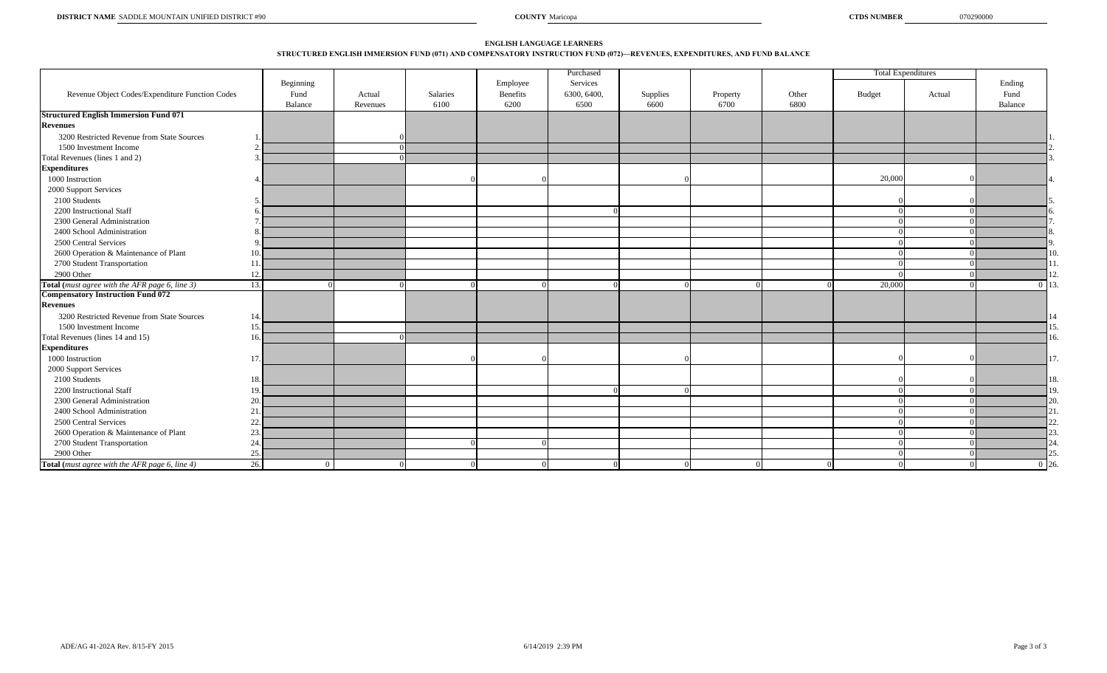#### **STRUCTURED ENGLISH IMMERSION FUND (071) AND COMPENSATORY INSTRUCTION FUND (072)—REVENUES, EXPENDITURES, AND FUND BALANCE ENGLISH LANGUAGE LEARNERS**

|                                                 |           |          |                  |                  | Purchased           |                  |          |               |        | <b>Total Expenditures</b> |          |
|-------------------------------------------------|-----------|----------|------------------|------------------|---------------------|------------------|----------|---------------|--------|---------------------------|----------|
|                                                 | Beginning |          |                  | Employee         | Services            |                  |          |               |        |                           | Ending   |
| Revenue Object Codes/Expenditure Function Codes | Fund      | Actual   | Salaries<br>6100 | Benefits<br>6200 | 6300, 6400,<br>6500 | Supplies<br>6600 | Property | Other<br>6800 | Budget | Actual                    | Fund     |
| <b>Structured English Immersion Fund 071</b>    | Balance   | Revenues |                  |                  |                     |                  | 6700     |               |        |                           | Balance  |
| <b>Revenues</b>                                 |           |          |                  |                  |                     |                  |          |               |        |                           |          |
| 3200 Restricted Revenue from State Sources      |           |          |                  |                  |                     |                  |          |               |        |                           |          |
| 1500 Investment Income                          |           |          |                  |                  |                     |                  |          |               |        |                           |          |
| Total Revenues (lines 1 and 2)                  |           |          |                  |                  |                     |                  |          |               |        |                           |          |
| <b>Expenditures</b>                             |           |          |                  |                  |                     |                  |          |               |        |                           |          |
| 1000 Instruction                                |           |          |                  |                  |                     |                  |          |               | 20,000 |                           |          |
| 2000 Support Services                           |           |          |                  |                  |                     |                  |          |               |        |                           |          |
| 2100 Students                                   |           |          |                  |                  |                     |                  |          |               |        |                           |          |
| 2200 Instructional Staff                        |           |          |                  |                  |                     |                  |          |               |        |                           |          |
| 2300 General Administration                     |           |          |                  |                  |                     |                  |          |               |        |                           |          |
| 2400 School Administration                      |           |          |                  |                  |                     |                  |          |               |        |                           |          |
| 2500 Central Services                           |           |          |                  |                  |                     |                  |          |               |        |                           |          |
| 2600 Operation & Maintenance of Plant           | 10        |          |                  |                  |                     |                  |          |               |        |                           |          |
| 2700 Student Transportation                     | 11        |          |                  |                  |                     |                  |          |               |        |                           |          |
| 2900 Other                                      | 12        |          |                  |                  |                     |                  |          |               |        |                           |          |
| Total (must agree with the AFR page 6, line 3)  | 13.       |          |                  |                  |                     |                  |          |               | 20,000 |                           | $\Omega$ |
| <b>Compensatory Instruction Fund 072</b>        |           |          |                  |                  |                     |                  |          |               |        |                           |          |
| <b>Revenues</b>                                 |           |          |                  |                  |                     |                  |          |               |        |                           |          |
| 3200 Restricted Revenue from State Sources      | 14        |          |                  |                  |                     |                  |          |               |        |                           |          |
| 1500 Investment Income                          | 15        |          |                  |                  |                     |                  |          |               |        |                           |          |
| Total Revenues (lines 14 and 15)                | 16        |          |                  |                  |                     |                  |          |               |        |                           |          |
| <b>Expenditures</b>                             |           |          |                  |                  |                     |                  |          |               |        |                           |          |
| 1000 Instruction                                | 17        |          |                  |                  |                     |                  |          |               |        |                           |          |
| 2000 Support Services                           |           |          |                  |                  |                     |                  |          |               |        |                           |          |
| 2100 Students                                   | 18.       |          |                  |                  |                     |                  |          |               |        |                           | 18.      |
| 2200 Instructional Staff                        | 19.       |          |                  |                  |                     |                  |          |               |        |                           | 19       |
| 2300 General Administration                     | 20.       |          |                  |                  |                     |                  |          |               |        |                           | 20       |
| 2400 School Administration                      | 21        |          |                  |                  |                     |                  |          |               |        |                           |          |
| 2500 Central Services                           | 22        |          |                  |                  |                     |                  |          |               |        |                           |          |
| 2600 Operation & Maintenance of Plant           | 23        |          |                  |                  |                     |                  |          |               |        |                           |          |
| 2700 Student Transportation                     | 24.       |          |                  |                  |                     |                  |          |               |        |                           |          |
| 2900 Other                                      | 25.       |          |                  |                  |                     |                  |          |               |        |                           |          |
| Total (must agree with the AFR page 6, line 4)  | 26.       | $\Omega$ |                  |                  |                     |                  |          |               |        |                           | 0.26     |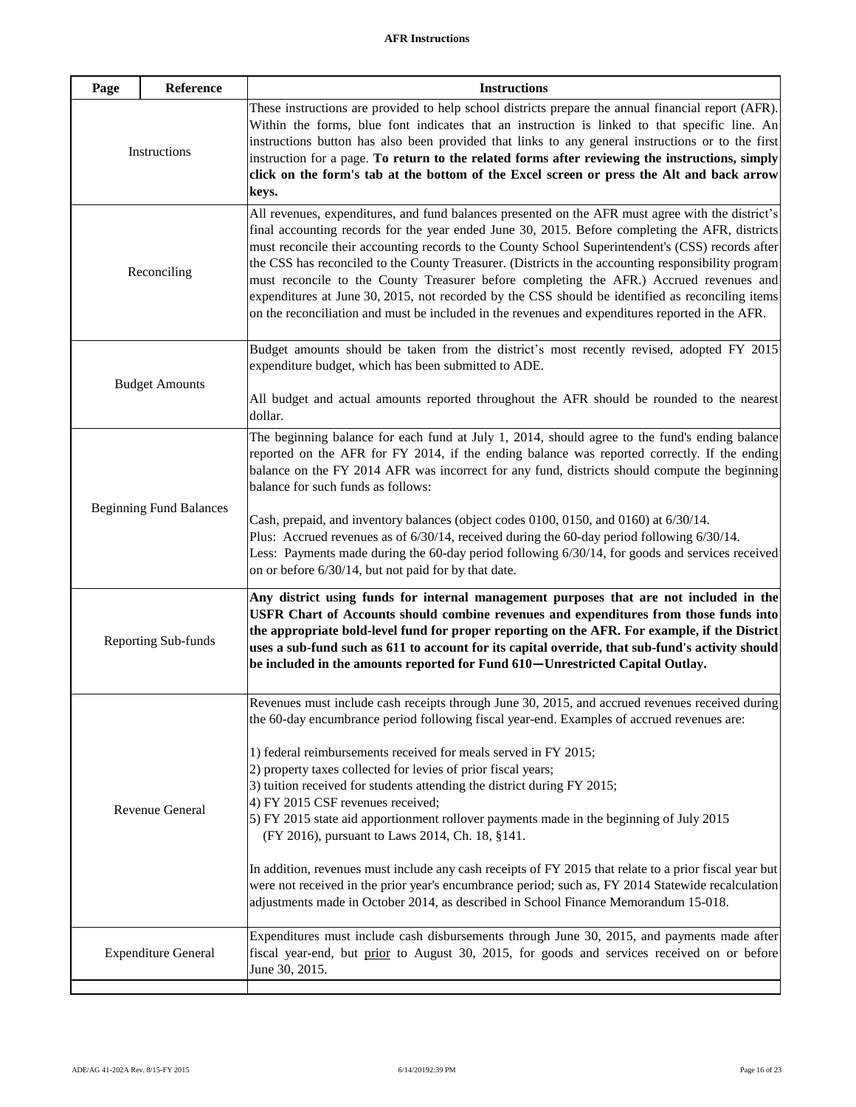| Reference<br>Page              | <b>Instructions</b>                                                                                                                                                                                                                                                                                                                                                                                                                                                                                                                                                                                                                                                                                                 |
|--------------------------------|---------------------------------------------------------------------------------------------------------------------------------------------------------------------------------------------------------------------------------------------------------------------------------------------------------------------------------------------------------------------------------------------------------------------------------------------------------------------------------------------------------------------------------------------------------------------------------------------------------------------------------------------------------------------------------------------------------------------|
| Instructions                   | These instructions are provided to help school districts prepare the annual financial report (AFR).<br>Within the forms, blue font indicates that an instruction is linked to that specific line. An<br>instructions button has also been provided that links to any general instructions or to the first<br>instruction for a page. To return to the related forms after reviewing the instructions, simply<br>click on the form's tab at the bottom of the Excel screen or press the Alt and back arrow<br>keys.                                                                                                                                                                                                  |
| Reconciling                    | All revenues, expenditures, and fund balances presented on the AFR must agree with the district's<br>final accounting records for the year ended June 30, 2015. Before completing the AFR, districts<br>must reconcile their accounting records to the County School Superintendent's (CSS) records after<br>the CSS has reconciled to the County Treasurer. (Districts in the accounting responsibility program<br>must reconcile to the County Treasurer before completing the AFR.) Accrued revenues and<br>expenditures at June 30, 2015, not recorded by the CSS should be identified as reconciling items<br>on the reconciliation and must be included in the revenues and expenditures reported in the AFR. |
| <b>Budget Amounts</b>          | Budget amounts should be taken from the district's most recently revised, adopted FY 2015<br>expenditure budget, which has been submitted to ADE.                                                                                                                                                                                                                                                                                                                                                                                                                                                                                                                                                                   |
|                                | All budget and actual amounts reported throughout the AFR should be rounded to the nearest<br>dollar.                                                                                                                                                                                                                                                                                                                                                                                                                                                                                                                                                                                                               |
|                                | The beginning balance for each fund at July 1, 2014, should agree to the fund's ending balance<br>reported on the AFR for FY 2014, if the ending balance was reported correctly. If the ending<br>balance on the FY 2014 AFR was incorrect for any fund, districts should compute the beginning<br>balance for such funds as follows:                                                                                                                                                                                                                                                                                                                                                                               |
| <b>Beginning Fund Balances</b> | Cash, prepaid, and inventory balances (object codes 0100, 0150, and 0160) at 6/30/14.<br>Plus: Accrued revenues as of $6/30/14$ , received during the 60-day period following $6/30/14$ .<br>Less: Payments made during the 60-day period following 6/30/14, for goods and services received<br>on or before 6/30/14, but not paid for by that date.                                                                                                                                                                                                                                                                                                                                                                |
| Reporting Sub-funds            | Any district using funds for internal management purposes that are not included in the<br>USFR Chart of Accounts should combine revenues and expenditures from those funds into<br>the appropriate bold-level fund for proper reporting on the AFR. For example, if the District<br>uses a sub-fund such as 611 to account for its capital override, that sub-fund's activity should<br>be included in the amounts reported for Fund 610-Unrestricted Capital Outlay.                                                                                                                                                                                                                                               |
|                                | Revenues must include cash receipts through June 30, 2015, and accrued revenues received during<br>the 60-day encumbrance period following fiscal year-end. Examples of accrued revenues are:                                                                                                                                                                                                                                                                                                                                                                                                                                                                                                                       |
| Revenue General                | 1) federal reimbursements received for meals served in FY 2015;<br>2) property taxes collected for levies of prior fiscal years;<br>3) tuition received for students attending the district during FY 2015;<br>4) FY 2015 CSF revenues received;<br>5) FY 2015 state aid apportionment rollover payments made in the beginning of July 2015<br>(FY 2016), pursuant to Laws 2014, Ch. 18, §141.                                                                                                                                                                                                                                                                                                                      |
|                                | In addition, revenues must include any cash receipts of FY 2015 that relate to a prior fiscal year but<br>were not received in the prior year's encumbrance period; such as, FY 2014 Statewide recalculation<br>adjustments made in October 2014, as described in School Finance Memorandum 15-018.                                                                                                                                                                                                                                                                                                                                                                                                                 |
| <b>Expenditure General</b>     | Expenditures must include cash disbursements through June 30, 2015, and payments made after<br>fiscal year-end, but prior to August 30, 2015, for goods and services received on or before<br>June 30, 2015.                                                                                                                                                                                                                                                                                                                                                                                                                                                                                                        |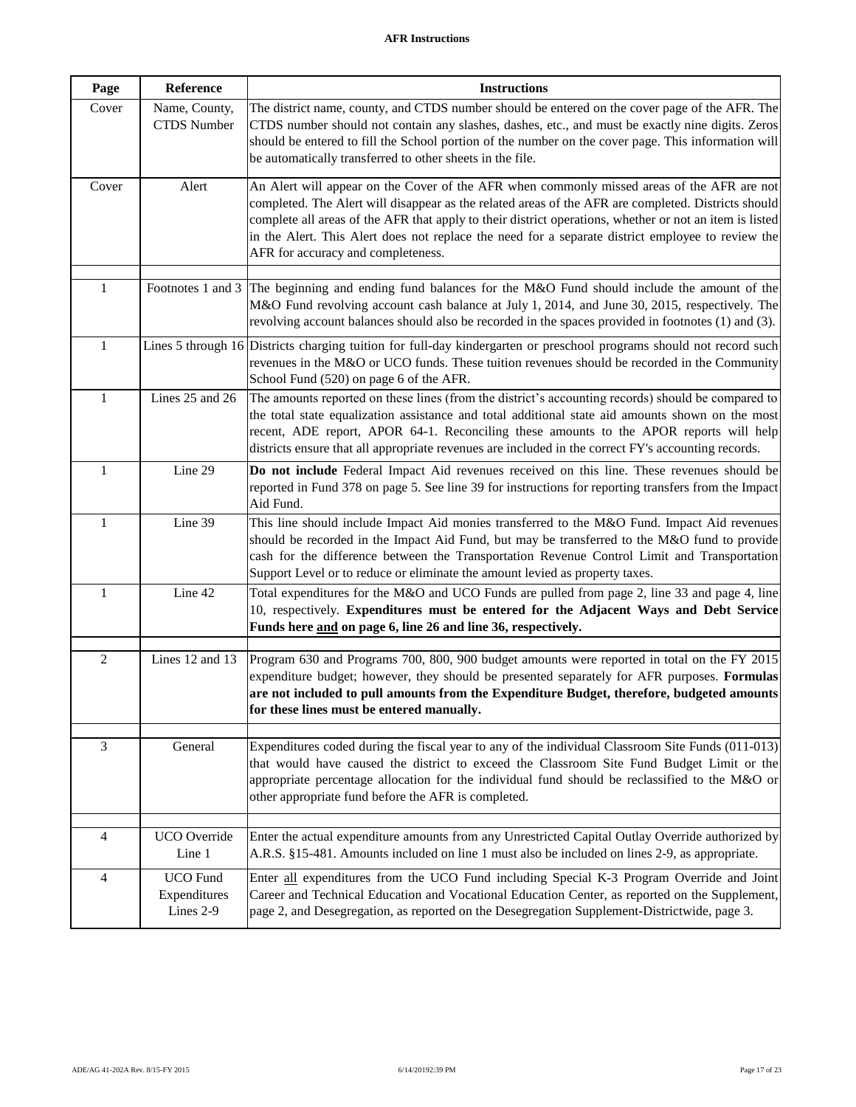| Page           | Reference                                    | <b>Instructions</b>                                                                                                                                                                                                                                                                                                                                                                                                                                     |
|----------------|----------------------------------------------|---------------------------------------------------------------------------------------------------------------------------------------------------------------------------------------------------------------------------------------------------------------------------------------------------------------------------------------------------------------------------------------------------------------------------------------------------------|
| Cover          | Name, County,<br><b>CTDS</b> Number          | The district name, county, and CTDS number should be entered on the cover page of the AFR. The<br>CTDS number should not contain any slashes, dashes, etc., and must be exactly nine digits. Zeros<br>should be entered to fill the School portion of the number on the cover page. This information will<br>be automatically transferred to other sheets in the file.                                                                                  |
| Cover          | Alert                                        | An Alert will appear on the Cover of the AFR when commonly missed areas of the AFR are not<br>completed. The Alert will disappear as the related areas of the AFR are completed. Districts should<br>complete all areas of the AFR that apply to their district operations, whether or not an item is listed<br>in the Alert. This Alert does not replace the need for a separate district employee to review the<br>AFR for accuracy and completeness. |
| $\mathbf{1}$   | Footnotes 1 and 3                            | The beginning and ending fund balances for the M&O Fund should include the amount of the<br>M&O Fund revolving account cash balance at July 1, 2014, and June 30, 2015, respectively. The<br>revolving account balances should also be recorded in the spaces provided in footnotes (1) and (3).                                                                                                                                                        |
| $\mathbf{1}$   | Lines 5 through 16                           | Districts charging tuition for full-day kindergarten or preschool programs should not record such<br>revenues in the M&O or UCO funds. These tuition revenues should be recorded in the Community<br>School Fund (520) on page 6 of the AFR.                                                                                                                                                                                                            |
| $\mathbf{1}$   | Lines 25 and 26                              | The amounts reported on these lines (from the district's accounting records) should be compared to<br>the total state equalization assistance and total additional state aid amounts shown on the most<br>recent, ADE report, APOR 64-1. Reconciling these amounts to the APOR reports will help<br>districts ensure that all appropriate revenues are included in the correct FY's accounting records.                                                 |
| 1              | Line 29                                      | Do not include Federal Impact Aid revenues received on this line. These revenues should be<br>reported in Fund 378 on page 5. See line 39 for instructions for reporting transfers from the Impact<br>Aid Fund.                                                                                                                                                                                                                                         |
| $\mathbf{1}$   | Line 39                                      | This line should include Impact Aid monies transferred to the M&O Fund. Impact Aid revenues<br>should be recorded in the Impact Aid Fund, but may be transferred to the M&O fund to provide<br>cash for the difference between the Transportation Revenue Control Limit and Transportation<br>Support Level or to reduce or eliminate the amount levied as property taxes.                                                                              |
| $\mathbf{1}$   | Line 42                                      | Total expenditures for the M&O and UCO Funds are pulled from page 2, line 33 and page 4, line<br>10, respectively. Expenditures must be entered for the Adjacent Ways and Debt Service<br>Funds here and on page 6, line 26 and line 36, respectively.                                                                                                                                                                                                  |
| $\overline{2}$ | Lines 12 and 13                              | Program 630 and Programs 700, 800, 900 budget amounts were reported in total on the FY 2015<br>expenditure budget; however, they should be presented separately for AFR purposes. Formulas<br>are not included to pull amounts from the Expenditure Budget, therefore, budgeted amounts<br>for these lines must be entered manually.                                                                                                                    |
| 3              | General                                      | Expenditures coded during the fiscal year to any of the individual Classroom Site Funds (011-013)<br>that would have caused the district to exceed the Classroom Site Fund Budget Limit or the<br>appropriate percentage allocation for the individual fund should be reclassified to the M&O or<br>other appropriate fund before the AFR is completed.                                                                                                 |
| 4              | <b>UCO</b> Override<br>Line 1                | Enter the actual expenditure amounts from any Unrestricted Capital Outlay Override authorized by<br>A.R.S. §15-481. Amounts included on line 1 must also be included on lines 2-9, as appropriate.                                                                                                                                                                                                                                                      |
| $\overline{4}$ | <b>UCO</b> Fund<br>Expenditures<br>Lines 2-9 | Enter all expenditures from the UCO Fund including Special K-3 Program Override and Joint<br>Career and Technical Education and Vocational Education Center, as reported on the Supplement,<br>page 2, and Desegregation, as reported on the Desegregation Supplement-Districtwide, page 3.                                                                                                                                                             |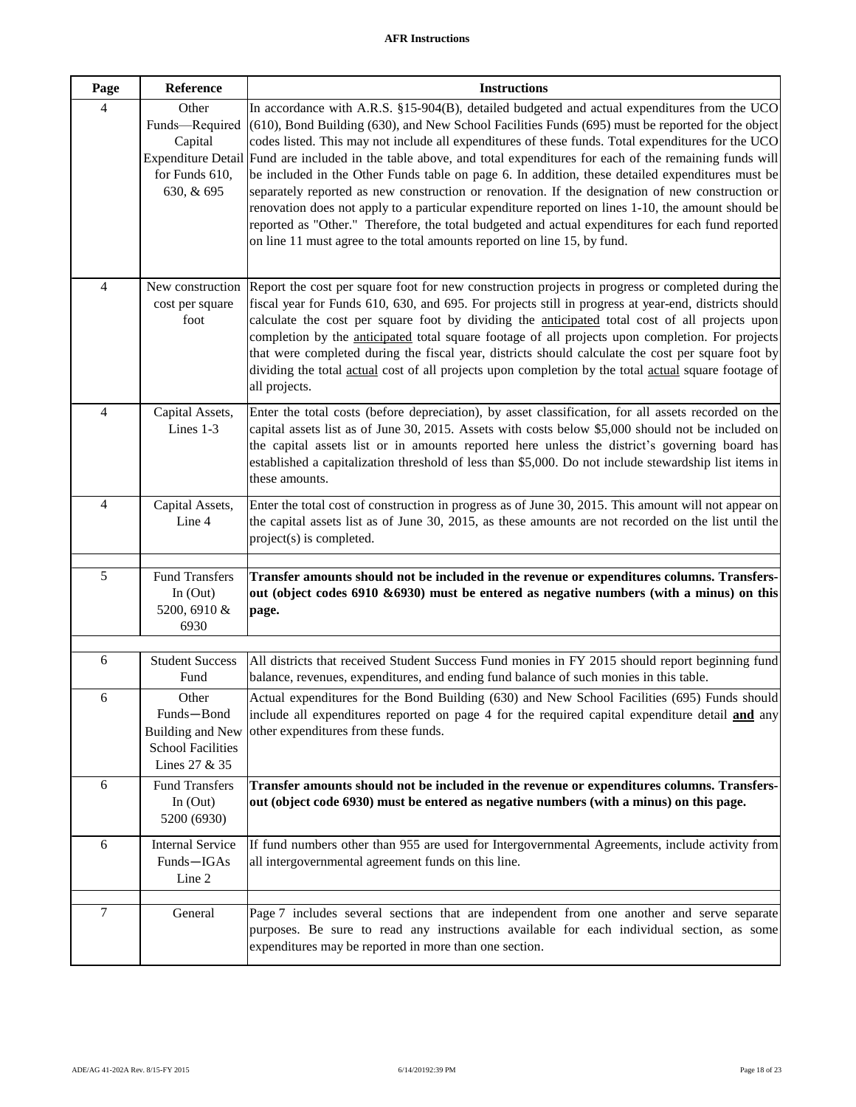| Page                     | Reference                                                                                       | <b>Instructions</b>                                                                                                                                                                                                                                                                                                                                                                                                                                                                                                                                                                                                                                                                                                                                                                                                                                                                                         |
|--------------------------|-------------------------------------------------------------------------------------------------|-------------------------------------------------------------------------------------------------------------------------------------------------------------------------------------------------------------------------------------------------------------------------------------------------------------------------------------------------------------------------------------------------------------------------------------------------------------------------------------------------------------------------------------------------------------------------------------------------------------------------------------------------------------------------------------------------------------------------------------------------------------------------------------------------------------------------------------------------------------------------------------------------------------|
| 4                        | Other<br>Funds-Required<br>Capital<br><b>Expenditure Detail</b><br>for Funds 610,<br>630, & 695 | In accordance with A.R.S. §15-904(B), detailed budgeted and actual expenditures from the UCO<br>(610), Bond Building (630), and New School Facilities Funds (695) must be reported for the object<br>codes listed. This may not include all expenditures of these funds. Total expenditures for the UCO<br>Fund are included in the table above, and total expenditures for each of the remaining funds will<br>be included in the Other Funds table on page 6. In addition, these detailed expenditures must be<br>separately reported as new construction or renovation. If the designation of new construction or<br>renovation does not apply to a particular expenditure reported on lines 1-10, the amount should be<br>reported as "Other." Therefore, the total budgeted and actual expenditures for each fund reported<br>on line 11 must agree to the total amounts reported on line 15, by fund. |
| $\overline{\mathcal{L}}$ | New construction<br>cost per square<br>foot                                                     | Report the cost per square foot for new construction projects in progress or completed during the<br>fiscal year for Funds 610, 630, and 695. For projects still in progress at year-end, districts should<br>calculate the cost per square foot by dividing the anticipated total cost of all projects upon<br>completion by the <i>anticipated</i> total square footage of all projects upon completion. For projects<br>that were completed during the fiscal year, districts should calculate the cost per square foot by<br>dividing the total actual cost of all projects upon completion by the total actual square footage of<br>all projects.                                                                                                                                                                                                                                                      |
| $\overline{\mathcal{L}}$ | Capital Assets,<br>Lines 1-3                                                                    | Enter the total costs (before depreciation), by asset classification, for all assets recorded on the<br>capital assets list as of June 30, 2015. Assets with costs below \$5,000 should not be included on<br>the capital assets list or in amounts reported here unless the district's governing board has<br>established a capitalization threshold of less than \$5,000. Do not include stewardship list items in<br>these amounts.                                                                                                                                                                                                                                                                                                                                                                                                                                                                      |
| $\overline{\mathbf{4}}$  | Capital Assets,<br>Line 4                                                                       | Enter the total cost of construction in progress as of June 30, 2015. This amount will not appear on<br>the capital assets list as of June 30, 2015, as these amounts are not recorded on the list until the<br>project(s) is completed.                                                                                                                                                                                                                                                                                                                                                                                                                                                                                                                                                                                                                                                                    |
| 5                        | <b>Fund Transfers</b><br>In $(Out)$<br>5200, 6910 &<br>6930                                     | Transfer amounts should not be included in the revenue or expenditures columns. Transfers-<br>out (object codes 6910 & 6930) must be entered as negative numbers (with a minus) on this<br>page.                                                                                                                                                                                                                                                                                                                                                                                                                                                                                                                                                                                                                                                                                                            |
| 6                        | <b>Student Success</b><br>Fund                                                                  | All districts that received Student Success Fund monies in FY 2015 should report beginning fund<br>balance, revenues, expenditures, and ending fund balance of such monies in this table.                                                                                                                                                                                                                                                                                                                                                                                                                                                                                                                                                                                                                                                                                                                   |
| 6                        | Other<br>Funds-Bond<br><b>Building and New</b><br><b>School Facilities</b><br>Lines 27 & 35     | Actual expenditures for the Bond Building (630) and New School Facilities (695) Funds should<br>include all expenditures reported on page 4 for the required capital expenditure detail and any<br>other expenditures from these funds.                                                                                                                                                                                                                                                                                                                                                                                                                                                                                                                                                                                                                                                                     |
| 6                        | <b>Fund Transfers</b><br>In $(Out)$<br>5200 (6930)                                              | Transfer amounts should not be included in the revenue or expenditures columns. Transfers-<br>out (object code 6930) must be entered as negative numbers (with a minus) on this page.                                                                                                                                                                                                                                                                                                                                                                                                                                                                                                                                                                                                                                                                                                                       |
| 6                        | <b>Internal Service</b><br>Funds-IGAs<br>Line 2                                                 | If fund numbers other than 955 are used for Intergovernmental Agreements, include activity from<br>all intergovernmental agreement funds on this line.                                                                                                                                                                                                                                                                                                                                                                                                                                                                                                                                                                                                                                                                                                                                                      |
| $\tau$                   | General                                                                                         | Page 7 includes several sections that are independent from one another and serve separate<br>purposes. Be sure to read any instructions available for each individual section, as some<br>expenditures may be reported in more than one section.                                                                                                                                                                                                                                                                                                                                                                                                                                                                                                                                                                                                                                                            |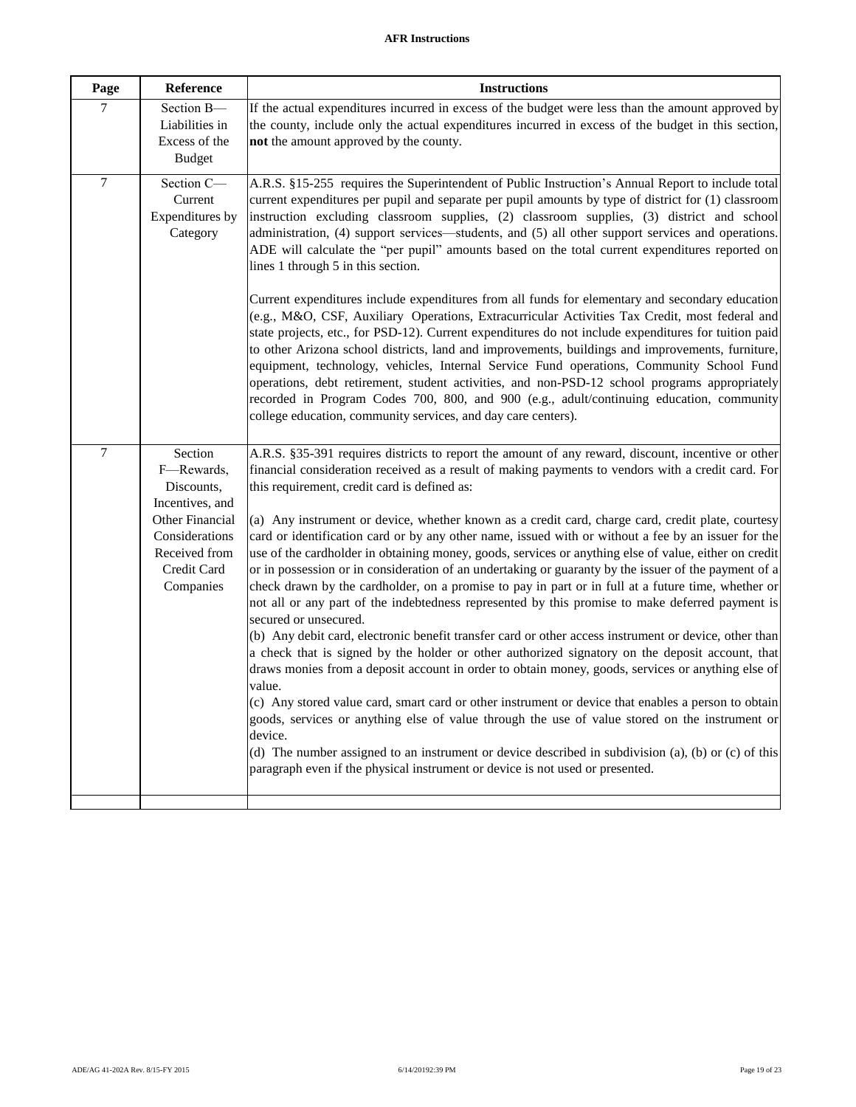| Page             | Reference                                                                                                                                | <b>Instructions</b>                                                                                                                                                                                                                                                                                                                                                                                                                                                                                                                                                                                                                                                                                                                                                                                                                                                                                                                                                                                                                                                                                                                                                                                                                                                                                                                                                                                                                                                                                                                                                                                                                                            |
|------------------|------------------------------------------------------------------------------------------------------------------------------------------|----------------------------------------------------------------------------------------------------------------------------------------------------------------------------------------------------------------------------------------------------------------------------------------------------------------------------------------------------------------------------------------------------------------------------------------------------------------------------------------------------------------------------------------------------------------------------------------------------------------------------------------------------------------------------------------------------------------------------------------------------------------------------------------------------------------------------------------------------------------------------------------------------------------------------------------------------------------------------------------------------------------------------------------------------------------------------------------------------------------------------------------------------------------------------------------------------------------------------------------------------------------------------------------------------------------------------------------------------------------------------------------------------------------------------------------------------------------------------------------------------------------------------------------------------------------------------------------------------------------------------------------------------------------|
| 7                | Section B-<br>Liabilities in<br>Excess of the<br><b>Budget</b>                                                                           | If the actual expenditures incurred in excess of the budget were less than the amount approved by<br>the county, include only the actual expenditures incurred in excess of the budget in this section,<br>not the amount approved by the county.                                                                                                                                                                                                                                                                                                                                                                                                                                                                                                                                                                                                                                                                                                                                                                                                                                                                                                                                                                                                                                                                                                                                                                                                                                                                                                                                                                                                              |
| $\tau$           | Section C-<br>Current<br>Expenditures by<br>Category                                                                                     | A.R.S. §15-255 requires the Superintendent of Public Instruction's Annual Report to include total<br>current expenditures per pupil and separate per pupil amounts by type of district for (1) classroom<br>instruction excluding classroom supplies, (2) classroom supplies, (3) district and school<br>administration, (4) support services—students, and (5) all other support services and operations.<br>ADE will calculate the "per pupil" amounts based on the total current expenditures reported on<br>lines 1 through 5 in this section.                                                                                                                                                                                                                                                                                                                                                                                                                                                                                                                                                                                                                                                                                                                                                                                                                                                                                                                                                                                                                                                                                                             |
|                  |                                                                                                                                          | Current expenditures include expenditures from all funds for elementary and secondary education<br>(e.g., M&O, CSF, Auxiliary Operations, Extracurricular Activities Tax Credit, most federal and<br>state projects, etc., for PSD-12). Current expenditures do not include expenditures for tuition paid<br>to other Arizona school districts, land and improvements, buildings and improvements, furniture,<br>equipment, technology, vehicles, Internal Service Fund operations, Community School Fund<br>operations, debt retirement, student activities, and non-PSD-12 school programs appropriately<br>recorded in Program Codes 700, 800, and 900 (e.g., adult/continuing education, community<br>college education, community services, and day care centers).                                                                                                                                                                                                                                                                                                                                                                                                                                                                                                                                                                                                                                                                                                                                                                                                                                                                                        |
| $\boldsymbol{7}$ | Section<br>F-Rewards,<br>Discounts,<br>Incentives, and<br>Other Financial<br>Considerations<br>Received from<br>Credit Card<br>Companies | A.R.S. §35-391 requires districts to report the amount of any reward, discount, incentive or other<br>financial consideration received as a result of making payments to vendors with a credit card. For<br>this requirement, credit card is defined as:<br>(a) Any instrument or device, whether known as a credit card, charge card, credit plate, courtesy<br>card or identification card or by any other name, issued with or without a fee by an issuer for the<br>use of the cardholder in obtaining money, goods, services or anything else of value, either on credit<br>or in possession or in consideration of an undertaking or guaranty by the issuer of the payment of a<br>check drawn by the cardholder, on a promise to pay in part or in full at a future time, whether or<br>not all or any part of the indebtedness represented by this promise to make deferred payment is<br>secured or unsecured.<br>(b) Any debit card, electronic benefit transfer card or other access instrument or device, other than<br>a check that is signed by the holder or other authorized signatory on the deposit account, that<br>draws monies from a deposit account in order to obtain money, goods, services or anything else of<br>value.<br>(c) Any stored value card, smart card or other instrument or device that enables a person to obtain<br>goods, services or anything else of value through the use of value stored on the instrument or<br>device.<br>(d) The number assigned to an instrument or device described in subdivision (a), (b) or (c) of this<br>paragraph even if the physical instrument or device is not used or presented. |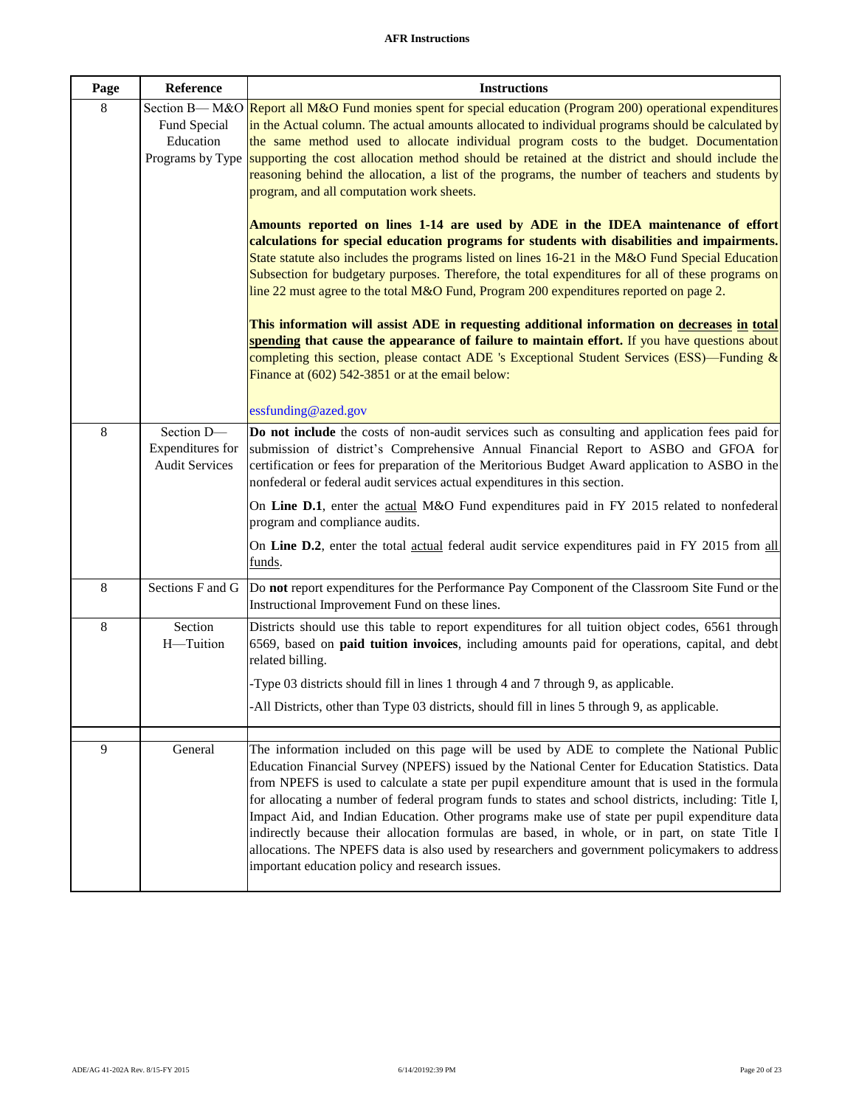#### **AFR Instructions**

| Page    | Reference                                                      | <b>Instructions</b>                                                                                                                                                                                                                                                                                                                                                                                                                                                                                                                                                                                                                                                                                                                                              |
|---------|----------------------------------------------------------------|------------------------------------------------------------------------------------------------------------------------------------------------------------------------------------------------------------------------------------------------------------------------------------------------------------------------------------------------------------------------------------------------------------------------------------------------------------------------------------------------------------------------------------------------------------------------------------------------------------------------------------------------------------------------------------------------------------------------------------------------------------------|
| $\,8\,$ | Section B-M&O<br>Fund Special<br>Education<br>Programs by Type | Report all M&O Fund monies spent for special education (Program 200) operational expenditures<br>in the Actual column. The actual amounts allocated to individual programs should be calculated by<br>the same method used to allocate individual program costs to the budget. Documentation<br>supporting the cost allocation method should be retained at the district and should include the<br>reasoning behind the allocation, a list of the programs, the number of teachers and students by<br>program, and all computation work sheets.<br>Amounts reported on lines 1-14 are used by ADE in the IDEA maintenance of effort                                                                                                                              |
|         |                                                                | calculations for special education programs for students with disabilities and impairments.<br>State statute also includes the programs listed on lines 16-21 in the M&O Fund Special Education<br>Subsection for budgetary purposes. Therefore, the total expenditures for all of these programs on<br>line 22 must agree to the total M&O Fund, Program 200 expenditures reported on page 2.                                                                                                                                                                                                                                                                                                                                                                   |
|         |                                                                | This information will assist ADE in requesting additional information on decreases in total<br>spending that cause the appearance of failure to maintain effort. If you have questions about<br>completing this section, please contact ADE 's Exceptional Student Services (ESS)—Funding &<br>Finance at (602) 542-3851 or at the email below:<br>essfunding@azed.gov                                                                                                                                                                                                                                                                                                                                                                                           |
| 8       | Section D-<br>Expenditures for<br><b>Audit Services</b>        | Do not include the costs of non-audit services such as consulting and application fees paid for<br>submission of district's Comprehensive Annual Financial Report to ASBO and GFOA for<br>certification or fees for preparation of the Meritorious Budget Award application to ASBO in the<br>nonfederal or federal audit services actual expenditures in this section.                                                                                                                                                                                                                                                                                                                                                                                          |
|         |                                                                | On Line D.1, enter the actual M&O Fund expenditures paid in FY 2015 related to nonfederal<br>program and compliance audits.<br>On Line D.2, enter the total actual federal audit service expenditures paid in FY 2015 from all                                                                                                                                                                                                                                                                                                                                                                                                                                                                                                                                   |
|         |                                                                | <u>funds.</u>                                                                                                                                                                                                                                                                                                                                                                                                                                                                                                                                                                                                                                                                                                                                                    |
| $\,8\,$ | Sections F and G                                               | Do not report expenditures for the Performance Pay Component of the Classroom Site Fund or the<br>Instructional Improvement Fund on these lines.                                                                                                                                                                                                                                                                                                                                                                                                                                                                                                                                                                                                                 |
| $\,8\,$ | Section<br>H-Tuition                                           | Districts should use this table to report expenditures for all tuition object codes, 6561 through<br>6569, based on paid tuition invoices, including amounts paid for operations, capital, and debt<br>related billing.                                                                                                                                                                                                                                                                                                                                                                                                                                                                                                                                          |
|         |                                                                | -Type 03 districts should fill in lines 1 through 4 and 7 through 9, as applicable.                                                                                                                                                                                                                                                                                                                                                                                                                                                                                                                                                                                                                                                                              |
|         |                                                                | -All Districts, other than Type 03 districts, should fill in lines 5 through 9, as applicable.                                                                                                                                                                                                                                                                                                                                                                                                                                                                                                                                                                                                                                                                   |
| 9       | General                                                        | The information included on this page will be used by ADE to complete the National Public<br>Education Financial Survey (NPEFS) issued by the National Center for Education Statistics. Data<br>from NPEFS is used to calculate a state per pupil expenditure amount that is used in the formula<br>for allocating a number of federal program funds to states and school districts, including: Title I,<br>Impact Aid, and Indian Education. Other programs make use of state per pupil expenditure data<br>indirectly because their allocation formulas are based, in whole, or in part, on state Title I<br>allocations. The NPEFS data is also used by researchers and government policymakers to address<br>important education policy and research issues. |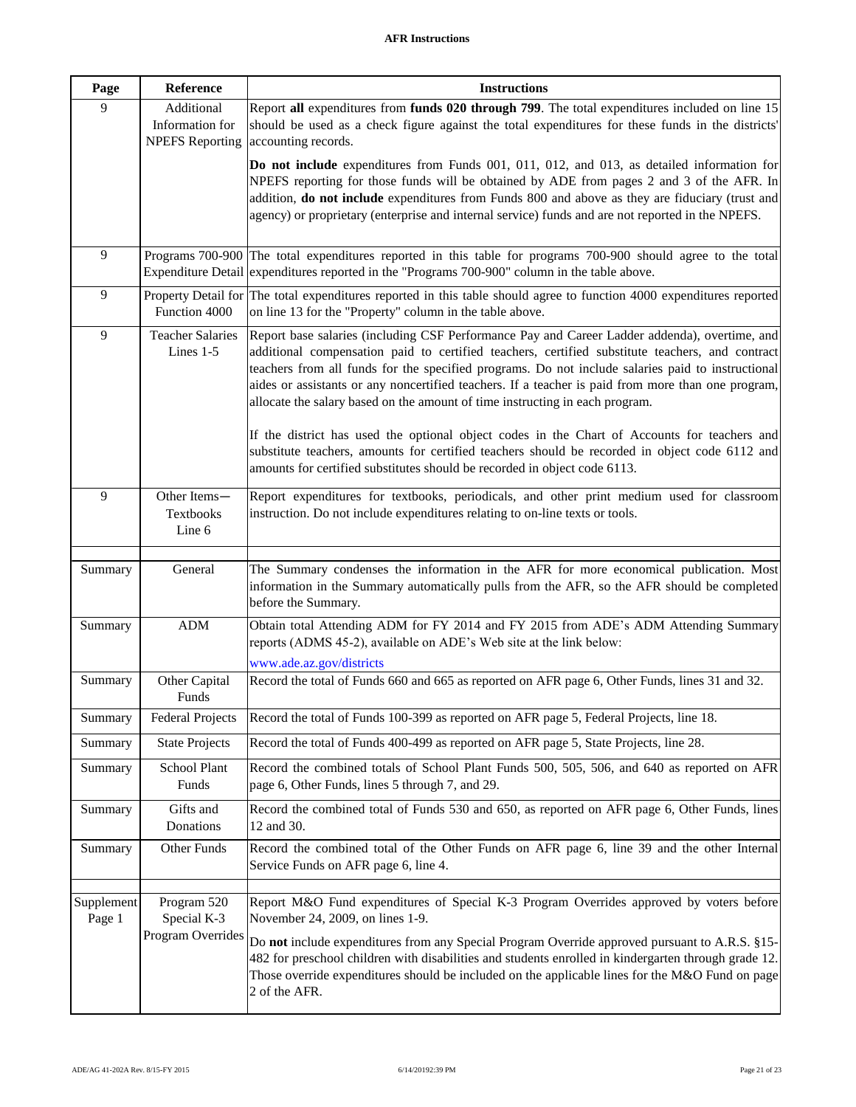| Page                 | Reference                                               | <b>Instructions</b>                                                                                                                                                                                                                                                                                                                                                                                                                                                                                                                                                                                                                                                                                                                                                        |
|----------------------|---------------------------------------------------------|----------------------------------------------------------------------------------------------------------------------------------------------------------------------------------------------------------------------------------------------------------------------------------------------------------------------------------------------------------------------------------------------------------------------------------------------------------------------------------------------------------------------------------------------------------------------------------------------------------------------------------------------------------------------------------------------------------------------------------------------------------------------------|
| 9                    | Additional<br>Information for<br><b>NPEFS</b> Reporting | Report all expenditures from funds 020 through 799. The total expenditures included on line 15<br>should be used as a check figure against the total expenditures for these funds in the districts'<br>accounting records.                                                                                                                                                                                                                                                                                                                                                                                                                                                                                                                                                 |
|                      |                                                         | Do not include expenditures from Funds 001, 011, 012, and 013, as detailed information for<br>NPEFS reporting for those funds will be obtained by ADE from pages 2 and 3 of the AFR. In<br>addition, do not include expenditures from Funds 800 and above as they are fiduciary (trust and<br>agency) or proprietary (enterprise and internal service) funds and are not reported in the NPEFS.                                                                                                                                                                                                                                                                                                                                                                            |
| 9                    | Programs 700-900<br><b>Expenditure Detail</b>           | The total expenditures reported in this table for programs 700-900 should agree to the total<br>expenditures reported in the "Programs 700-900" column in the table above.                                                                                                                                                                                                                                                                                                                                                                                                                                                                                                                                                                                                 |
| $\overline{9}$       | Property Detail for<br>Function 4000                    | The total expenditures reported in this table should agree to function 4000 expenditures reported<br>on line 13 for the "Property" column in the table above.                                                                                                                                                                                                                                                                                                                                                                                                                                                                                                                                                                                                              |
| 9                    | <b>Teacher Salaries</b><br>Lines $1-5$                  | Report base salaries (including CSF Performance Pay and Career Ladder addenda), overtime, and<br>additional compensation paid to certified teachers, certified substitute teachers, and contract<br>teachers from all funds for the specified programs. Do not include salaries paid to instructional<br>aides or assistants or any noncertified teachers. If a teacher is paid from more than one program,<br>allocate the salary based on the amount of time instructing in each program.<br>If the district has used the optional object codes in the Chart of Accounts for teachers and<br>substitute teachers, amounts for certified teachers should be recorded in object code 6112 and<br>amounts for certified substitutes should be recorded in object code 6113. |
| 9                    | Other Items-<br>Textbooks<br>Line 6                     | Report expenditures for textbooks, periodicals, and other print medium used for classroom<br>instruction. Do not include expenditures relating to on-line texts or tools.                                                                                                                                                                                                                                                                                                                                                                                                                                                                                                                                                                                                  |
| Summary              | General                                                 | The Summary condenses the information in the AFR for more economical publication. Most<br>information in the Summary automatically pulls from the AFR, so the AFR should be completed<br>before the Summary.                                                                                                                                                                                                                                                                                                                                                                                                                                                                                                                                                               |
| Summary              | ADM                                                     | Obtain total Attending ADM for FY 2014 and FY 2015 from ADE's ADM Attending Summary<br>reports (ADMS 45-2), available on ADE's Web site at the link below:                                                                                                                                                                                                                                                                                                                                                                                                                                                                                                                                                                                                                 |
| Summary              | Other Capital                                           | www.ade.az.gov/districts<br>Record the total of Funds 660 and 665 as reported on AFR page 6, Other Funds, lines 31 and 32.                                                                                                                                                                                                                                                                                                                                                                                                                                                                                                                                                                                                                                                 |
|                      | Funds                                                   |                                                                                                                                                                                                                                                                                                                                                                                                                                                                                                                                                                                                                                                                                                                                                                            |
| Summary              | <b>Federal Projects</b>                                 | Record the total of Funds 100-399 as reported on AFR page 5, Federal Projects, line 18.                                                                                                                                                                                                                                                                                                                                                                                                                                                                                                                                                                                                                                                                                    |
| Summary              | <b>State Projects</b>                                   | Record the total of Funds 400-499 as reported on AFR page 5, State Projects, line 28.                                                                                                                                                                                                                                                                                                                                                                                                                                                                                                                                                                                                                                                                                      |
| Summary              | School Plant<br>Funds                                   | Record the combined totals of School Plant Funds 500, 505, 506, and 640 as reported on AFR<br>page 6, Other Funds, lines 5 through 7, and 29.                                                                                                                                                                                                                                                                                                                                                                                                                                                                                                                                                                                                                              |
| Summary              | Gifts and<br>Donations                                  | Record the combined total of Funds 530 and 650, as reported on AFR page 6, Other Funds, lines<br>12 and 30.                                                                                                                                                                                                                                                                                                                                                                                                                                                                                                                                                                                                                                                                |
| Summary              | Other Funds                                             | Record the combined total of the Other Funds on AFR page 6, line 39 and the other Internal<br>Service Funds on AFR page 6, line 4.                                                                                                                                                                                                                                                                                                                                                                                                                                                                                                                                                                                                                                         |
| Supplement<br>Page 1 | Program 520<br>Special K-3<br>Program Overrides         | Report M&O Fund expenditures of Special K-3 Program Overrides approved by voters before<br>November 24, 2009, on lines 1-9.<br>Do not include expenditures from any Special Program Override approved pursuant to A.R.S. §15-<br>482 for preschool children with disabilities and students enrolled in kindergarten through grade 12.<br>Those override expenditures should be included on the applicable lines for the M&O Fund on page<br>2 of the AFR.                                                                                                                                                                                                                                                                                                                  |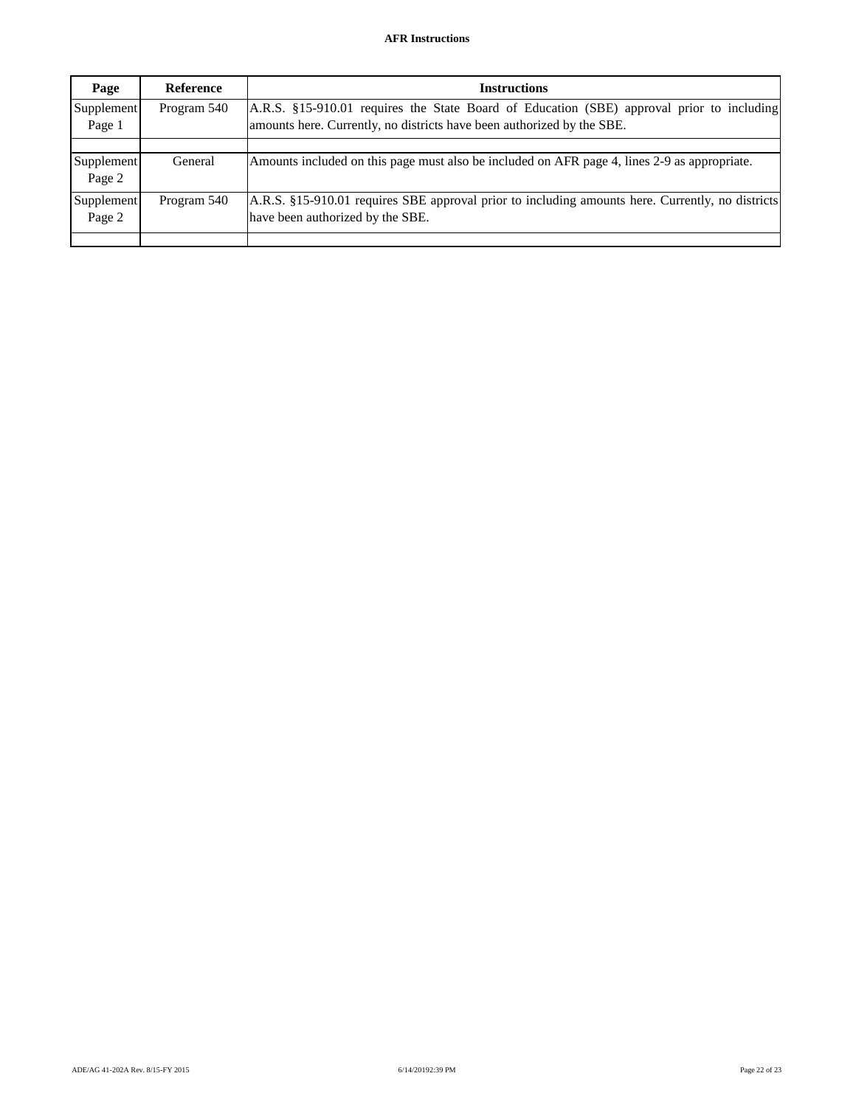| Page                 | <b>Reference</b> | <b>Instructions</b>                                                                                                                                                 |
|----------------------|------------------|---------------------------------------------------------------------------------------------------------------------------------------------------------------------|
| Supplement<br>Page 1 | Program 540      | A.R.S. §15-910.01 requires the State Board of Education (SBE) approval prior to including<br>amounts here. Currently, no districts have been authorized by the SBE. |
| Supplement<br>Page 2 | General          | Amounts included on this page must also be included on AFR page 4, lines 2-9 as appropriate.                                                                        |
| Supplement<br>Page 2 | Program 540      | A.R.S. §15-910.01 requires SBE approval prior to including amounts here. Currently, no districts<br>have been authorized by the SBE.                                |
|                      |                  |                                                                                                                                                                     |